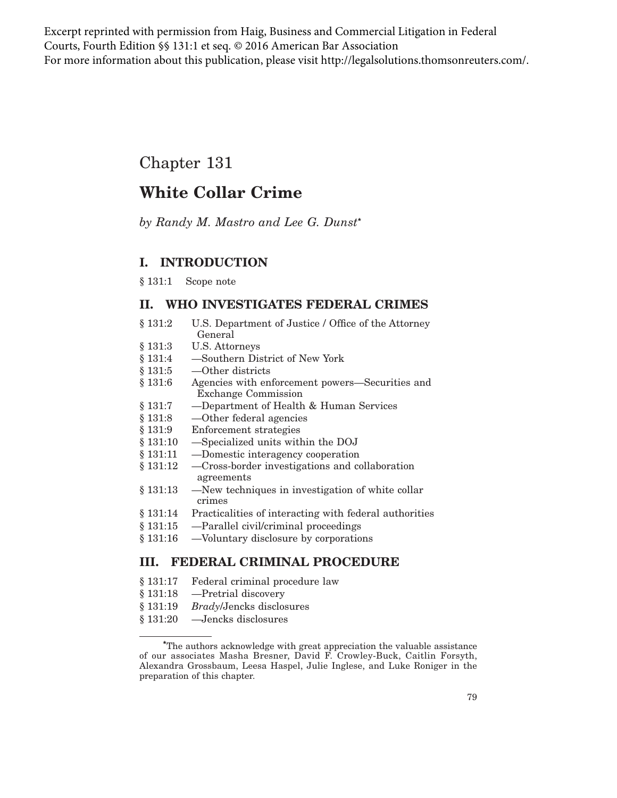Excerpt reprinted with permission from Haig, Business and Commercial Litigation in Federal Courts, Fourth Edition §§ 131:1 et seq. © 2016 American Bar Association For more information about this publication, please visit http://legalsolutions.thomsonreuters.com/.

# Chapter 131

# **White Collar Crime**

*by Randy M. Mastro and Lee G. Dunst***\***

## **I. INTRODUCTION**

§ 131:1 Scope note

### **II. WHO INVESTIGATES FEDERAL CRIMES**

- § 131:2 U.S. Department of Justice / Office of the Attorney General
- § 131:3 U.S. Attorneys
- § 131:4 —Southern District of New York
- § 131:5 —Other districts
- § 131:6 Agencies with enforcement powers—Securities and Exchange Commission
- § 131:7 —Department of Health & Human Services
- § 131:8 —Other federal agencies
- § 131:9 Enforcement strategies
- § 131:10 —Specialized units within the DOJ
- § 131:11 —Domestic interagency cooperation
- § 131:12 —Cross-border investigations and collaboration agreements
- § 131:13 —New techniques in investigation of white collar crimes
- § 131:14 Practicalities of interacting with federal authorities
- § 131:15 —Parallel civil/criminal proceedings
- § 131:16 —Voluntary disclosure by corporations

## **III. FEDERAL CRIMINAL PROCEDURE**

- § 131:17 Federal criminal procedure law
- § 131:18 —Pretrial discovery
- § 131:19 *Brady*/Jencks disclosures
- § 131:20 —Jencks disclosures

**<sup>\*</sup>**The authors acknowledge with great appreciation the valuable assistance of our associates Masha Bresner, David F. Crowley-Buck, Caitlin Forsyth, Alexandra Grossbaum, Leesa Haspel, Julie Inglese, and Luke Roniger in the preparation of this chapter.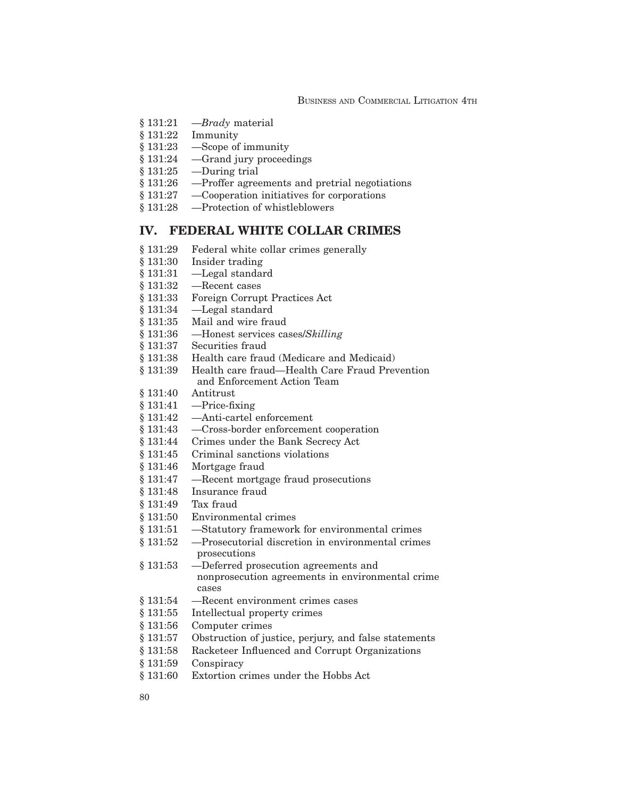- § 131:21 —*Brady* material
- § 131:22 Immunity
- § 131:23 —Scope of immunity
- § 131:24 —Grand jury proceedings
- § 131:25 —During trial
- § 131:26 —Proffer agreements and pretrial negotiations
- § 131:27 —Cooperation initiatives for corporations
- § 131:28 —Protection of whistleblowers

### **IV. FEDERAL WHITE COLLAR CRIMES**

- § 131:29 Federal white collar crimes generally
- § 131:30 Insider trading
- § 131:31 —Legal standard
- § 131:32 —Recent cases
- § 131:33 Foreign Corrupt Practices Act
- § 131:34 —Legal standard
- § 131:35 Mail and wire fraud
- § 131:36 —Honest services cases/*Skilling*
- § 131:37 Securities fraud
- § 131:38 Health care fraud (Medicare and Medicaid)
- § 131:39 Health care fraud—Health Care Fraud Prevention and Enforcement Action Team
- § 131:40 Antitrust
- $§ 131:41$  —Price-fixing
- § 131:42 —Anti-cartel enforcement
- § 131:43 —Cross-border enforcement cooperation
- § 131:44 Crimes under the Bank Secrecy Act
- § 131:45 Criminal sanctions violations
- § 131:46 Mortgage fraud
- § 131:47 —Recent mortgage fraud prosecutions
- § 131:48 Insurance fraud
- § 131:49 Tax fraud
- § 131:50 Environmental crimes
- § 131:51 —Statutory framework for environmental crimes
- § 131:52 —Prosecutorial discretion in environmental crimes prosecutions
- § 131:53 —Deferred prosecution agreements and nonprosecution agreements in environmental crime cases
- § 131:54 —Recent environment crimes cases
- § 131:55 Intellectual property crimes
- § 131:56 Computer crimes
- § 131:57 Obstruction of justice, perjury, and false statements
- § 131:58 Racketeer Influenced and Corrupt Organizations
- § 131:59 Conspiracy
- § 131:60 Extortion crimes under the Hobbs Act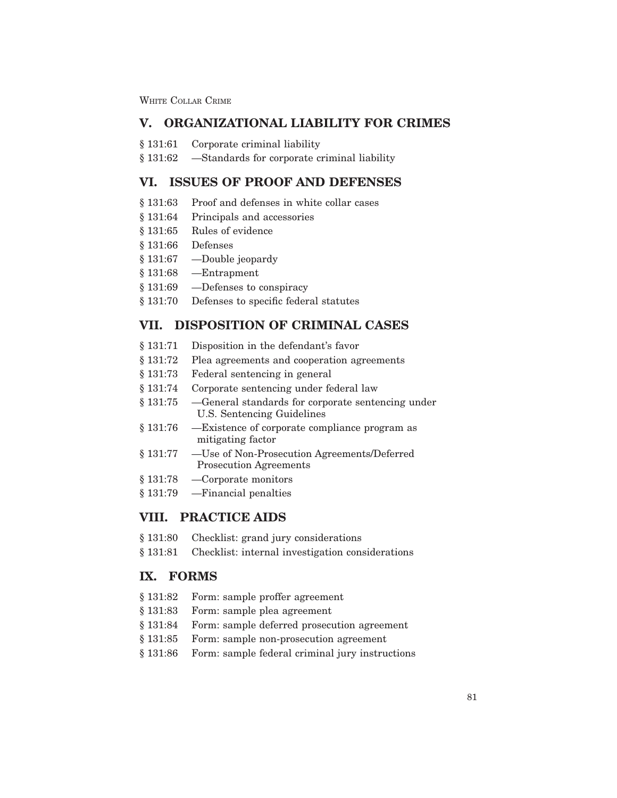WHITE COLLAR CRIME

### **V. ORGANIZATIONAL LIABILITY FOR CRIMES**

- § 131:61 Corporate criminal liability
- § 131:62 —Standards for corporate criminal liability

### **VI. ISSUES OF PROOF AND DEFENSES**

- § 131:63 Proof and defenses in white collar cases
- § 131:64 Principals and accessories
- § 131:65 Rules of evidence
- § 131:66 Defenses
- § 131:67 —Double jeopardy
- § 131:68 —Entrapment
- § 131:69 —Defenses to conspiracy
- § 131:70 Defenses to specific federal statutes

### **VII. DISPOSITION OF CRIMINAL CASES**

- § 131:71 Disposition in the defendant's favor
- § 131:72 Plea agreements and cooperation agreements
- § 131:73 Federal sentencing in general
- § 131:74 Corporate sentencing under federal law
- § 131:75 —General standards for corporate sentencing under U.S. Sentencing Guidelines
- § 131:76 —Existence of corporate compliance program as mitigating factor
- § 131:77 —Use of Non-Prosecution Agreements/Deferred Prosecution Agreements
- § 131:78 —Corporate monitors
- § 131:79 —Financial penalties

### **VIII. PRACTICE AIDS**

- § 131:80 Checklist: grand jury considerations
- § 131:81 Checklist: internal investigation considerations

### **IX. FORMS**

- § 131:82 Form: sample proffer agreement
- § 131:83 Form: sample plea agreement
- § 131:84 Form: sample deferred prosecution agreement
- § 131:85 Form: sample non-prosecution agreement
- § 131:86 Form: sample federal criminal jury instructions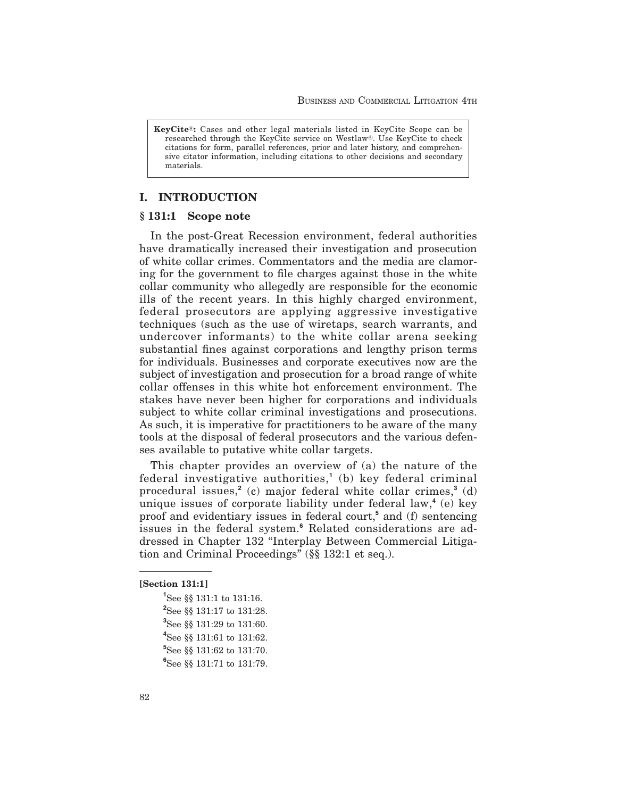**KeyCite<sup>®</sup>:** Cases and other legal materials listed in KeyCite Scope can be researched through the KeyCite service on Westlaw®. Use KeyCite to check citations for form, parallel references, prior and later history, and comprehensive citator information, including citations to other decisions and secondary materials.

### **I. INTRODUCTION**

### **§ 131:1 Scope note**

In the post-Great Recession environment, federal authorities have dramatically increased their investigation and prosecution of white collar crimes. Commentators and the media are clamoring for the government to file charges against those in the white collar community who allegedly are responsible for the economic ills of the recent years. In this highly charged environment, federal prosecutors are applying aggressive investigative techniques (such as the use of wiretaps, search warrants, and undercover informants) to the white collar arena seeking substantial fines against corporations and lengthy prison terms for individuals. Businesses and corporate executives now are the subject of investigation and prosecution for a broad range of white collar offenses in this white hot enforcement environment. The stakes have never been higher for corporations and individuals subject to white collar criminal investigations and prosecutions. As such, it is imperative for practitioners to be aware of the many tools at the disposal of federal prosecutors and the various defenses available to putative white collar targets.

This chapter provides an overview of (a) the nature of the federal investigative authorities,**<sup>1</sup>** (b) key federal criminal procedural issues,**<sup>2</sup>** (c) major federal white collar crimes,**<sup>3</sup>** (d) unique issues of corporate liability under federal law,**<sup>4</sup>** (e) key proof and evidentiary issues in federal court,**<sup>5</sup>** and (f) sentencing issues in the federal system.**<sup>6</sup>** Related considerations are addressed in Chapter 132 "Interplay Between Commercial Litigation and Criminal Proceedings" (§§ 132:1 et seq.).

#### **[Section 131:1]**

 See §§ 131:1 to 131:16. See §§ 131:17 to 131:28. See §§ 131:29 to 131:60. See §§ 131:61 to 131:62. See §§ 131:62 to 131:70. See §§ 131:71 to 131:79.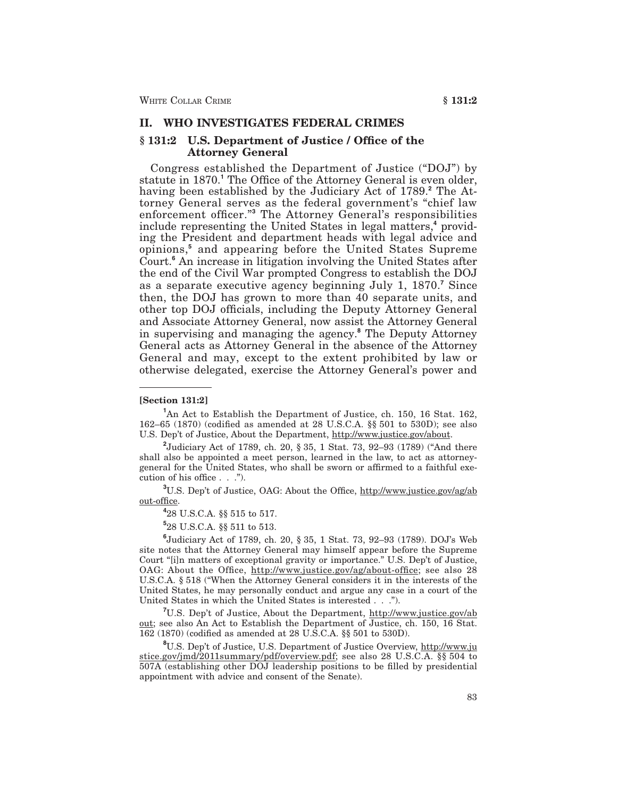### **II. WHO INVESTIGATES FEDERAL CRIMES**

#### **§ 131:2 U.S. Department of Justice / Office of the Attorney General**

Congress established the Department of Justice ("DOJ") by statute in 1870.**<sup>1</sup>** The Office of the Attorney General is even older, having been established by the Judiciary Act of 1789.**<sup>2</sup>** The Attorney General serves as the federal government's "chief law enforcement officer."**<sup>3</sup>** The Attorney General's responsibilities include representing the United States in legal matters,**<sup>4</sup>** providing the President and department heads with legal advice and opinions,**<sup>5</sup>** and appearing before the United States Supreme Court.**<sup>6</sup>** An increase in litigation involving the United States after the end of the Civil War prompted Congress to establish the DOJ as a separate executive agency beginning July 1, 1870.**<sup>7</sup>** Since then, the DOJ has grown to more than 40 separate units, and other top DOJ officials, including the Deputy Attorney General and Associate Attorney General, now assist the Attorney General in supervising and managing the agency.**<sup>8</sup>** The Deputy Attorney General acts as Attorney General in the absence of the Attorney General and may, except to the extent prohibited by law or otherwise delegated, exercise the Attorney General's power and

**[Section 131:2]**

**2** Judiciary Act of 1789, ch. 20, § 35, 1 Stat. 73, 92–93 (1789) ("And there shall also be appointed a meet person, learned in the law, to act as attorneygeneral for the United States, who shall be sworn or affirmed to a faithful execution of his office . . .").

<sup>3</sup>U.S. Dep't of Justice, OAG: About the Office, http://www.justice.gov/ag/ab out-office.

**4** 28 U.S.C.A. §§ 515 to 517.

**5** 28 U.S.C.A. §§ 511 to 513.

**6** Judiciary Act of 1789, ch. 20, § 35, 1 Stat. 73, 92–93 (1789). DOJ's Web site notes that the Attorney General may himself appear before the Supreme Court "[i]n matters of exceptional gravity or importance." U.S. Dep't of Justice, OAG: About the Office, http://www.justice.gov/ag/about-office; see also 28 U.S.C.A. § 518 ("When the Attorney General considers it in the interests of the United States, he may personally conduct and argue any case in a court of the United States in which the United States is interested . . .").

<sup>7</sup>U.S. Dep't of Justice, About the Department, http://www.justice.gov/ab out; see also An Act to Establish the Department of Justice, ch. 150, 16 Stat. 162 (1870) (codified as amended at 28 U.S.C.A. §§ 501 to 530D).

**8** U.S. Dep't of Justice, U.S. Department of Justice Overview, http://www.ju stice.gov/jmd/2011summary/pdf/overview.pdf; see also 28 U.S.C.A. §§ 504 to 507A (establishing other DOJ leadership positions to be filled by presidential appointment with advice and consent of the Senate).

<sup>&</sup>lt;sup>1</sup>An Act to Establish the Department of Justice, ch. 150, 16 Stat. 162, 162–65 (1870) (codified as amended at 28 U.S.C.A. §§ 501 to 530D); see also U.S. Dep't of Justice, About the Department, http://www.justice.gov/about.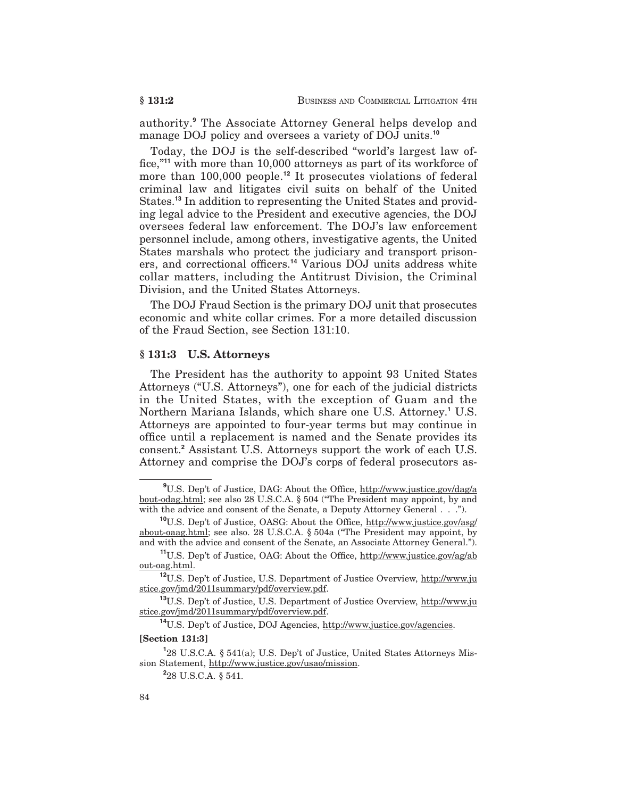authority.**<sup>9</sup>** The Associate Attorney General helps develop and manage DOJ policy and oversees a variety of DOJ units.**<sup>10</sup>**

Today, the DOJ is the self-described "world's largest law office,"**<sup>11</sup>** with more than 10,000 attorneys as part of its workforce of more than 100,000 people.**<sup>12</sup>** It prosecutes violations of federal criminal law and litigates civil suits on behalf of the United States.**<sup>13</sup>** In addition to representing the United States and providing legal advice to the President and executive agencies, the DOJ oversees federal law enforcement. The DOJ's law enforcement personnel include, among others, investigative agents, the United States marshals who protect the judiciary and transport prisoners, and correctional officers.**<sup>14</sup>** Various DOJ units address white collar matters, including the Antitrust Division, the Criminal Division, and the United States Attorneys.

The DOJ Fraud Section is the primary DOJ unit that prosecutes economic and white collar crimes. For a more detailed discussion of the Fraud Section, see Section 131:10.

#### **§ 131:3 U.S. Attorneys**

The President has the authority to appoint 93 United States Attorneys ("U.S. Attorneys"), one for each of the judicial districts in the United States, with the exception of Guam and the Northern Mariana Islands, which share one U.S. Attorney.**<sup>1</sup>** U.S. Attorneys are appointed to four-year terms but may continue in office until a replacement is named and the Senate provides its consent.**<sup>2</sup>** Assistant U.S. Attorneys support the work of each U.S. Attorney and comprise the DOJ's corps of federal prosecutors as-

#### **[Section 131:3]**

<sup>&</sup>lt;sup>9</sup>U.S. Dep't of Justice, DAG: About the Office, http://www.justice.gov/dag/a bout-odag.html; see also 28 U.S.C.A. § 504 ("The President may appoint, by and with the advice and consent of the Senate, a Deputy Attorney General . . .").

**<sup>10</sup>**U.S. Dep't of Justice, OASG: About the Office, http://www.justice.gov/asg/ about-oaag.html; see also. 28 U.S.C.A. § 504a ("The President may appoint, by and with the advice and consent of the Senate, an Associate Attorney General.").

**<sup>11</sup>**U.S. Dep't of Justice, OAG: About the Office, http://www.justice.gov/ag/ab out-oag.html.

**<sup>12</sup>**U.S. Dep't of Justice, U.S. Department of Justice Overview, http://www.ju stice.gov/jmd/2011summary/pdf/overview.pdf.

**<sup>13</sup>**U.S. Dep't of Justice, U.S. Department of Justice Overview, http://www.ju stice.gov/jmd/2011summary/pdf/overview.pdf.

**<sup>14</sup>**U.S. Dep't of Justice, DOJ Agencies, http://www.justice.gov/agencies.

**<sup>1</sup>** 28 U.S.C.A. § 541(a); U.S. Dep't of Justice, United States Attorneys Mission Statement, http://www.justice.gov/usao/mission.

**<sup>2</sup>** 28 U.S.C.A. § 541.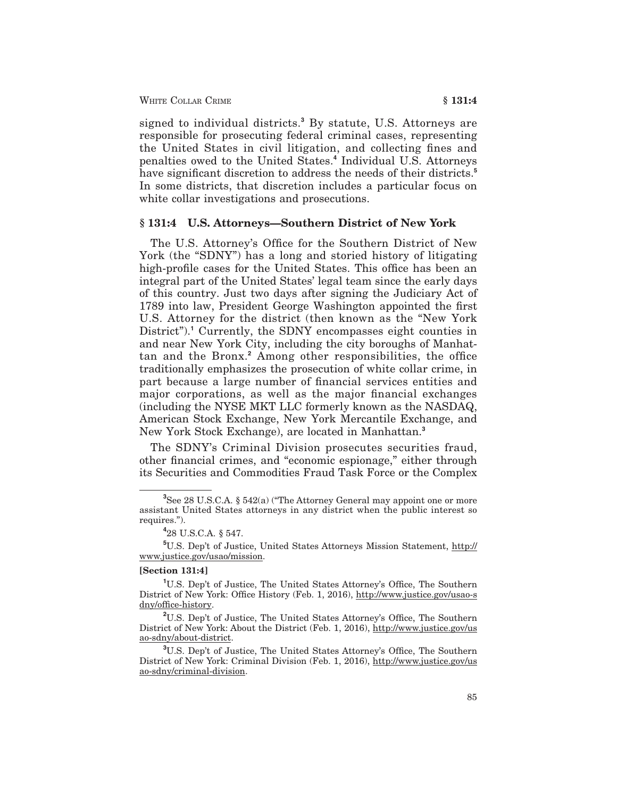signed to individual districts.**<sup>3</sup>** By statute, U.S. Attorneys are responsible for prosecuting federal criminal cases, representing the United States in civil litigation, and collecting fines and penalties owed to the United States.**<sup>4</sup>** Individual U.S. Attorneys have significant discretion to address the needs of their districts.**<sup>5</sup>** In some districts, that discretion includes a particular focus on white collar investigations and prosecutions.

#### **§ 131:4 U.S. Attorneys—Southern District of New York**

The U.S. Attorney's Office for the Southern District of New York (the "SDNY") has a long and storied history of litigating high-profile cases for the United States. This office has been an integral part of the United States' legal team since the early days of this country. Just two days after signing the Judiciary Act of 1789 into law, President George Washington appointed the first U.S. Attorney for the district (then known as the "New York District").<sup>1</sup> Currently, the SDNY encompasses eight counties in and near New York City, including the city boroughs of Manhattan and the Bronx.**<sup>2</sup>** Among other responsibilities, the office traditionally emphasizes the prosecution of white collar crime, in part because a large number of financial services entities and major corporations, as well as the major financial exchanges (including the NYSE MKT LLC formerly known as the NASDAQ, American Stock Exchange, New York Mercantile Exchange, and New York Stock Exchange), are located in Manhattan.**<sup>3</sup>**

The SDNY's Criminal Division prosecutes securities fraud, other financial crimes, and "economic espionage," either through its Securities and Commodities Fraud Task Force or the Complex

#### **[Section 131:4]**

**<sup>3</sup>** See 28 U.S.C.A. § 542(a) ("The Attorney General may appoint one or more assistant United States attorneys in any district when the public interest so requires.").

**<sup>4</sup>** 28 U.S.C.A. § 547.

**<sup>5</sup>** U.S. Dep't of Justice, United States Attorneys Mission Statement, http:// www.justice.gov/usao/mission.

**<sup>1</sup>** U.S. Dep't of Justice, The United States Attorney's Office, The Southern District of New York: Office History (Feb. 1, 2016), http://www.justice.gov/usao-s dny/office-history.

**<sup>2</sup>** U.S. Dep't of Justice, The United States Attorney's Office, The Southern District of New York: About the District (Feb. 1, 2016), http://www.justice.gov/us ao-sdny/about-district.

**<sup>3</sup>** U.S. Dep't of Justice, The United States Attorney's Office, The Southern District of New York: Criminal Division (Feb. 1, 2016), http://www.justice.gov/us ao-sdny/criminal-division.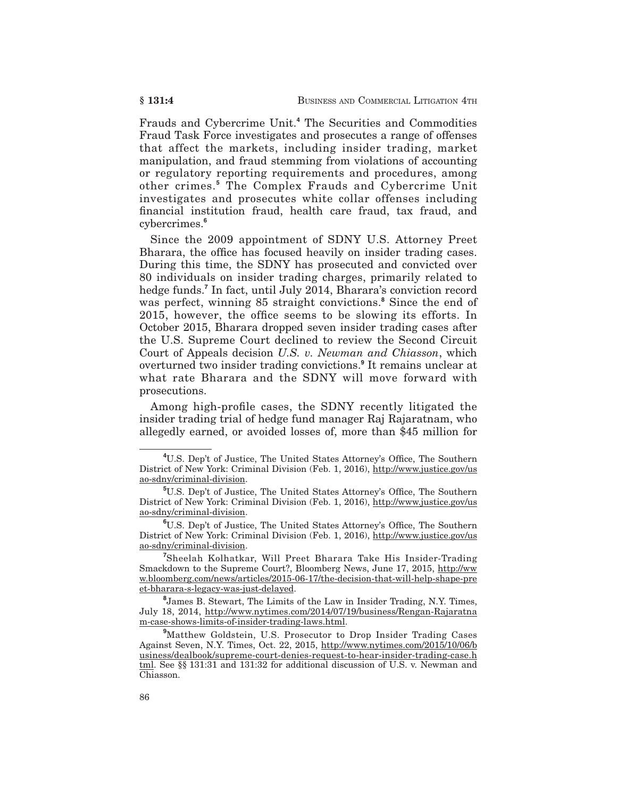Frauds and Cybercrime Unit.**<sup>4</sup>** The Securities and Commodities Fraud Task Force investigates and prosecutes a range of offenses that affect the markets, including insider trading, market manipulation, and fraud stemming from violations of accounting or regulatory reporting requirements and procedures, among other crimes.**<sup>5</sup>** The Complex Frauds and Cybercrime Unit investigates and prosecutes white collar offenses including financial institution fraud, health care fraud, tax fraud, and cybercrimes.**<sup>6</sup>**

Since the 2009 appointment of SDNY U.S. Attorney Preet Bharara, the office has focused heavily on insider trading cases. During this time, the SDNY has prosecuted and convicted over 80 individuals on insider trading charges, primarily related to hedge funds.**<sup>7</sup>** In fact, until July 2014, Bharara's conviction record was perfect, winning 85 straight convictions.**<sup>8</sup>** Since the end of 2015, however, the office seems to be slowing its efforts. In October 2015, Bharara dropped seven insider trading cases after the U.S. Supreme Court declined to review the Second Circuit Court of Appeals decision *U.S. v. Newman and Chiasson*, which overturned two insider trading convictions.**<sup>9</sup>** It remains unclear at what rate Bharara and the SDNY will move forward with prosecutions.

Among high-profile cases, the SDNY recently litigated the insider trading trial of hedge fund manager Raj Rajaratnam, who allegedly earned, or avoided losses of, more than \$45 million for

**<sup>4</sup>** U.S. Dep't of Justice, The United States Attorney's Office, The Southern District of New York: Criminal Division (Feb. 1, 2016), http://www.justice.gov/us ao-sdny/criminal-division.

**<sup>5</sup>** U.S. Dep't of Justice, The United States Attorney's Office, The Southern District of New York: Criminal Division (Feb. 1, 2016), http://www.justice.gov/us ao-sdny/criminal-division.

**<sup>6</sup>** U.S. Dep't of Justice, The United States Attorney's Office, The Southern District of New York: Criminal Division (Feb. 1, 2016), http://www.justice.gov/us ao-sdny/criminal-division.

**<sup>7</sup>** Sheelah Kolhatkar, Will Preet Bharara Take His Insider-Trading Smackdown to the Supreme Court?, Bloomberg News, June 17, 2015, http://ww w.bloomberg.com/news/articles/2015-06-17/the-decision-that-will-help-shape-pre et-bharara-s-legacy-was-just-delayed.

**<sup>8</sup>** James B. Stewart, The Limits of the Law in Insider Trading, N.Y. Times, July 18, 2014, http://www.nytimes.com/2014/07/19/business/Rengan-Rajaratna m-case-shows-limits-of-insider-trading-laws.html.

**<sup>9</sup>** Matthew Goldstein, U.S. Prosecutor to Drop Insider Trading Cases Against Seven, N.Y. Times, Oct. 22, 2015, http://www.nytimes.com/2015/10/06/b usiness/dealbook/supreme-court-denies-request-to-hear-insider-trading-case.h tml. See §§ 131:31 and 131:32 for additional discussion of U.S. v. Newman and Chiasson.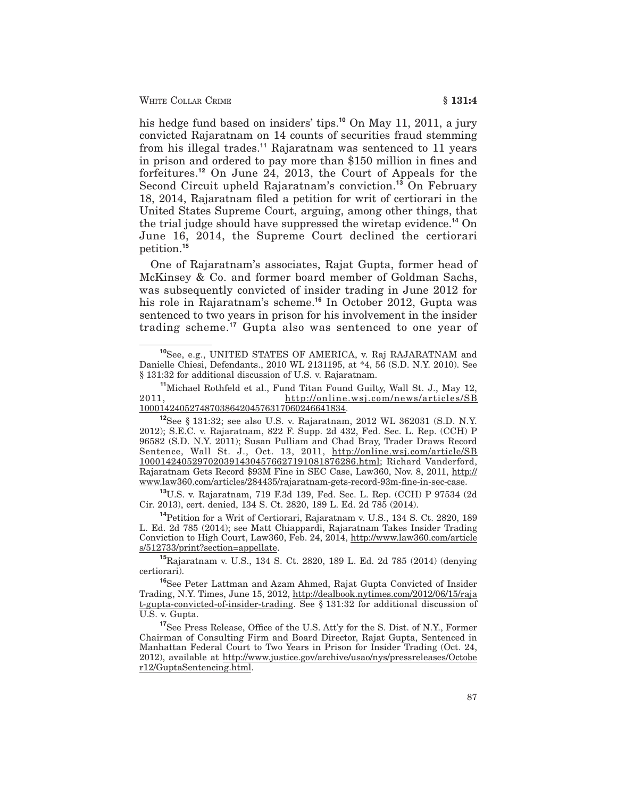his hedge fund based on insiders' tips.**<sup>10</sup>** On May 11, 2011, a jury convicted Rajaratnam on 14 counts of securities fraud stemming from his illegal trades.**<sup>11</sup>** Rajaratnam was sentenced to 11 years in prison and ordered to pay more than \$150 million in fines and forfeitures.**<sup>12</sup>** On June 24, 2013, the Court of Appeals for the Second Circuit upheld Rajaratnam's conviction.**<sup>13</sup>** On February 18, 2014, Rajaratnam filed a petition for writ of certiorari in the United States Supreme Court, arguing, among other things, that the trial judge should have suppressed the wiretap evidence.**<sup>14</sup>** On June 16, 2014, the Supreme Court declined the certiorari petition.**<sup>15</sup>**

One of Rajaratnam's associates, Rajat Gupta, former head of McKinsey & Co. and former board member of Goldman Sachs, was subsequently convicted of insider trading in June 2012 for his role in Rajaratnam's scheme.**<sup>16</sup>** In October 2012, Gupta was sentenced to two years in prison for his involvement in the insider trading scheme.**<sup>17</sup>** Gupta also was sentenced to one year of

**<sup>13</sup>**U.S. v. Rajaratnam, 719 F.3d 139, Fed. Sec. L. Rep. (CCH) P 97534 (2d Cir. 2013), cert. denied, 134 S. Ct. 2820, 189 L. Ed. 2d 785 (2014).

**<sup>14</sup>**Petition for a Writ of Certiorari, Rajaratnam v. U.S., 134 S. Ct. 2820, 189 L. Ed. 2d 785 (2014); see Matt Chiappardi, Rajaratnam Takes Insider Trading Conviction to High Court, Law360, Feb. 24, 2014, http://www.law360.com/article s/512733/print?section=appellate.

**<sup>15</sup>**Rajaratnam v. U.S., 134 S. Ct. 2820, 189 L. Ed. 2d 785 (2014) (denying certiorari).

**<sup>16</sup>**See Peter Lattman and Azam Ahmed, Rajat Gupta Convicted of Insider Trading, N.Y. Times, June 15, 2012, http://dealbook.nytimes.com/2012/06/15/raja t-gupta-convicted-of-insider-trading. See § 131:32 for additional discussion of U.S. v. Gupta.

**<sup>17</sup>**See Press Release, Office of the U.S. Att'y for the S. Dist. of N.Y., Former Chairman of Consulting Firm and Board Director, Rajat Gupta, Sentenced in Manhattan Federal Court to Two Years in Prison for Insider Trading (Oct. 24, 2012), available at http://www.justice.gov/archive/usao/nys/pressreleases/Octobe r12/GuptaSentencing.html.

**<sup>10</sup>**See, e.g., UNITED STATES OF AMERICA, v. Raj RAJARATNAM and Danielle Chiesi, Defendants., 2010 WL 2131195, at \*4, 56 (S.D. N.Y. 2010). See § 131:32 for additional discussion of U.S. v. Rajaratnam.

**<sup>11</sup>**Michael Rothfeld et al., Fund Titan Found Guilty, Wall St. J., May 12, 2011, http://online.wsj.com/news/articles/SB 10001424052748703864204576317060246641834.

**<sup>12</sup>**See § 131:32; see also U.S. v. Rajaratnam, 2012 WL 362031 (S.D. N.Y. 2012); S.E.C. v. Rajaratnam, 822 F. Supp. 2d 432, Fed. Sec. L. Rep. (CCH) P 96582 (S.D. N.Y. 2011); Susan Pulliam and Chad Bray, Trader Draws Record Sentence, Wall St. J., Oct. 13, 2011, http://online.wsj.com/article/SB 10001424052970203914304576627191081876286.html; Richard Vanderford, Rajaratnam Gets Record \$93M Fine in SEC Case, Law360, Nov. 8, 2011, http:// www.law360.com/articles/284435/rajaratnam-gets-record-93m-fine-in-sec-case.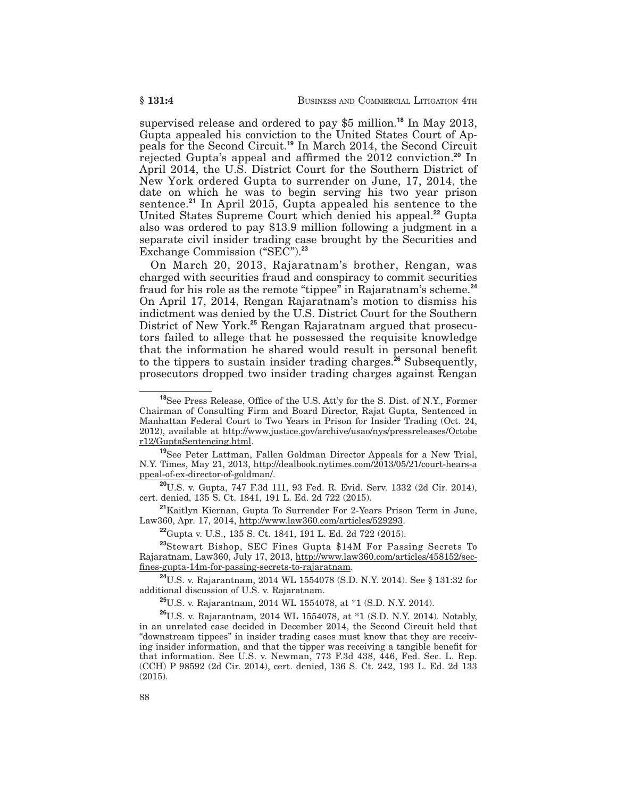supervised release and ordered to pay \$5 million.**<sup>18</sup>** In May 2013, Gupta appealed his conviction to the United States Court of Appeals for the Second Circuit.**<sup>19</sup>** In March 2014, the Second Circuit rejected Gupta's appeal and affirmed the 2012 conviction.**<sup>20</sup>** In April 2014, the U.S. District Court for the Southern District of New York ordered Gupta to surrender on June, 17, 2014, the date on which he was to begin serving his two year prison sentence.**<sup>21</sup>** In April 2015, Gupta appealed his sentence to the United States Supreme Court which denied his appeal.**<sup>22</sup>** Gupta also was ordered to pay \$13.9 million following a judgment in a separate civil insider trading case brought by the Securities and Exchange Commission ("SEC").**<sup>23</sup>**

On March 20, 2013, Rajaratnam's brother, Rengan, was charged with securities fraud and conspiracy to commit securities fraud for his role as the remote "tippee" in Rajaratnam's scheme.**<sup>24</sup>** On April 17, 2014, Rengan Rajaratnam's motion to dismiss his indictment was denied by the U.S. District Court for the Southern District of New York.**<sup>25</sup>** Rengan Rajaratnam argued that prosecutors failed to allege that he possessed the requisite knowledge that the information he shared would result in personal benefit to the tippers to sustain insider trading charges.**<sup>26</sup>** Subsequently, prosecutors dropped two insider trading charges against Rengan

**<sup>19</sup>**See Peter Lattman, Fallen Goldman Director Appeals for a New Trial, N.Y. Times, May 21, 2013, http://dealbook.nytimes.com/2013/05/21/court-hears-a ppeal-of-ex-director-of-goldman/.

**<sup>20</sup>**U.S. v. Gupta, 747 F.3d 111, 93 Fed. R. Evid. Serv. 1332 (2d Cir. 2014), cert. denied, 135 S. Ct. 1841, 191 L. Ed. 2d 722 (2015).

**<sup>21</sup>**Kaitlyn Kiernan, Gupta To Surrender For 2-Years Prison Term in June, Law360, Apr. 17, 2014, http://www.law360.com/articles/529293.

**<sup>22</sup>**Gupta v. U.S., 135 S. Ct. 1841, 191 L. Ed. 2d 722 (2015).

**<sup>23</sup>**Stewart Bishop, SEC Fines Gupta \$14M For Passing Secrets To Rajaratnam, Law360, July 17, 2013, http://www.law360.com/articles/458152/secfines-gupta-14m-for-passing-secrets-to-rajaratnam.

**<sup>24</sup>**U.S. v. Rajarantnam, 2014 WL 1554078 (S.D. N.Y. 2014). See § 131:32 for additional discussion of U.S. v. Rajaratnam.

**<sup>25</sup>**U.S. v. Rajarantnam, 2014 WL 1554078, at \*1 (S.D. N.Y. 2014).

**<sup>26</sup>**U.S. v. Rajarantnam, 2014 WL 1554078, at \*1 (S.D. N.Y. 2014). Notably, in an unrelated case decided in December 2014, the Second Circuit held that "downstream tippees" in insider trading cases must know that they are receiving insider information, and that the tipper was receiving a tangible benefit for that information. See U.S. v. Newman, 773 F.3d 438, 446, Fed. Sec. L. Rep. (CCH) P 98592 (2d Cir. 2014), cert. denied, 136 S. Ct. 242, 193 L. Ed. 2d 133 (2015).

**<sup>18</sup>**See Press Release, Office of the U.S. Att'y for the S. Dist. of N.Y., Former Chairman of Consulting Firm and Board Director, Rajat Gupta, Sentenced in Manhattan Federal Court to Two Years in Prison for Insider Trading (Oct. 24, 2012), available at http://www.justice.gov/archive/usao/nys/pressreleases/Octobe r12/GuptaSentencing.html.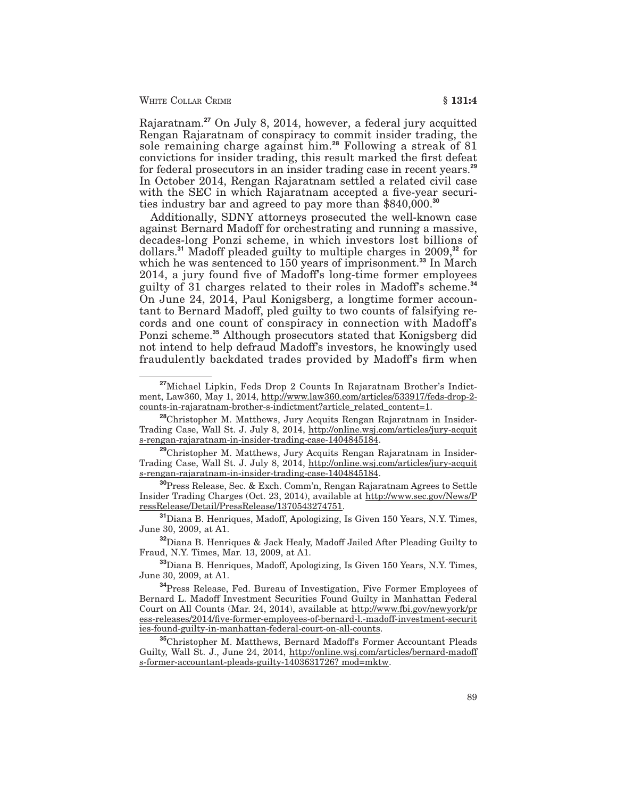#### WHITE COLLAR CRIME **§ 131:4**

Rajaratnam.**<sup>27</sup>** On July 8, 2014, however, a federal jury acquitted Rengan Rajaratnam of conspiracy to commit insider trading, the sole remaining charge against him.**<sup>28</sup>** Following a streak of 81 convictions for insider trading, this result marked the first defeat for federal prosecutors in an insider trading case in recent years.**<sup>29</sup>** In October 2014, Rengan Rajaratnam settled a related civil case with the SEC in which Rajaratnam accepted a five-year securities industry bar and agreed to pay more than \$840,000.**<sup>30</sup>**

Additionally, SDNY attorneys prosecuted the well-known case against Bernard Madoff for orchestrating and running a massive, decades-long Ponzi scheme, in which investors lost billions of dollars.**<sup>31</sup>** Madoff pleaded guilty to multiple charges in 2009,**<sup>32</sup>** for which he was sentenced to 150 years of imprisonment.**<sup>33</sup>** In March 2014, a jury found five of Madoff's long-time former employees guilty of 31 charges related to their roles in Madoff's scheme.**<sup>34</sup>** On June 24, 2014, Paul Konigsberg, a longtime former accountant to Bernard Madoff, pled guilty to two counts of falsifying records and one count of conspiracy in connection with Madoff's Ponzi scheme.**<sup>35</sup>** Although prosecutors stated that Konigsberg did not intend to help defraud Madoff's investors, he knowingly used fraudulently backdated trades provided by Madoff's firm when

**<sup>27</sup>**Michael Lipkin, Feds Drop 2 Counts In Rajaratnam Brother's Indictment, Law360, May 1, 2014, http://www.law360.com/articles/533917/feds-drop-2 counts-in-rajaratnam-brother-s-indictment?article\_related\_content=1.

**<sup>28</sup>**Christopher M. Matthews, Jury Acquits Rengan Rajaratnam in Insider-Trading Case, Wall St. J. July 8, 2014, http://online.wsj.com/articles/jury-acquit s-rengan-rajaratnam-in-insider-trading-case-1404845184.

**<sup>29</sup>**Christopher M. Matthews, Jury Acquits Rengan Rajaratnam in Insider-Trading Case, Wall St. J. July 8, 2014, http://online.wsj.com/articles/jury-acquit s-rengan-rajaratnam-in-insider-trading-case-1404845184.

**<sup>30</sup>**Press Release, Sec. & Exch. Comm'n, Rengan Rajaratnam Agrees to Settle Insider Trading Charges (Oct. 23, 2014), available at http://www.sec.gov/News/P ressRelease/Detail/PressRelease/1370543274751.

**<sup>31</sup>**Diana B. Henriques, Madoff, Apologizing, Is Given 150 Years, N.Y. Times, June 30, 2009, at A1.

**<sup>32</sup>**Diana B. Henriques & Jack Healy, Madoff Jailed After Pleading Guilty to Fraud, N.Y. Times, Mar. 13, 2009, at A1.

**<sup>33</sup>**Diana B. Henriques, Madoff, Apologizing, Is Given 150 Years, N.Y. Times, June 30, 2009, at A1.

**<sup>34</sup>**Press Release, Fed. Bureau of Investigation, Five Former Employees of Bernard L. Madoff Investment Securities Found Guilty in Manhattan Federal Court on All Counts (Mar. 24, 2014), available at http://www.fbi.gov/newyork/pr ess-releases/2014/five-former-employees-of-bernard-l.-madoff-investment-securit ies-found-guilty-in-manhattan-federal-court-on-all-counts.

**<sup>35</sup>**Christopher M. Matthews, Bernard Madoff's Former Accountant Pleads Guilty, Wall St. J., June 24, 2014, http://online.wsj.com/articles/bernard-madoff s-former-accountant-pleads-guilty-1403631726? mod=mktw.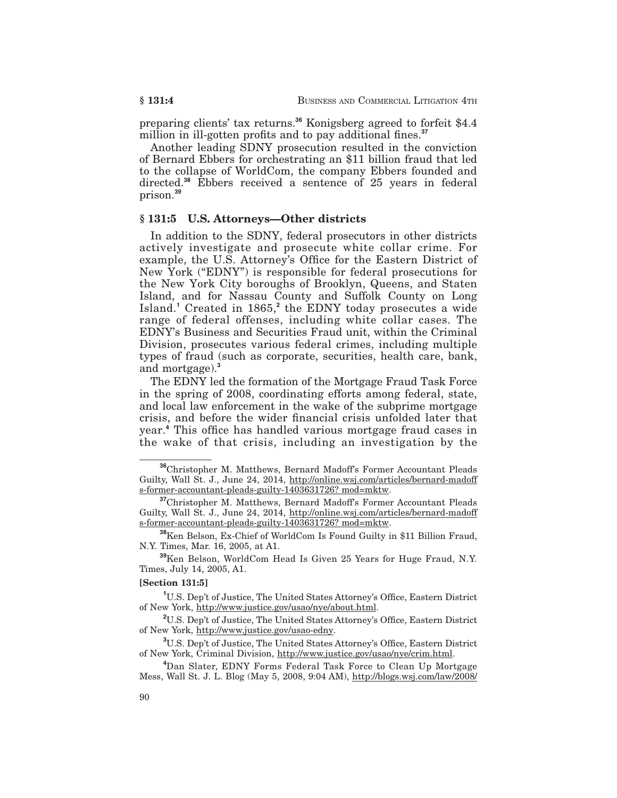preparing clients' tax returns.**<sup>36</sup>** Konigsberg agreed to forfeit \$4.4 million in ill-gotten profits and to pay additional fines.<sup>37</sup>

Another leading SDNY prosecution resulted in the conviction of Bernard Ebbers for orchestrating an \$11 billion fraud that led to the collapse of WorldCom, the company Ebbers founded and directed.**<sup>38</sup>** Ebbers received a sentence of 25 years in federal prison.**<sup>39</sup>**

#### **§ 131:5 U.S. Attorneys—Other districts**

In addition to the SDNY, federal prosecutors in other districts actively investigate and prosecute white collar crime. For example, the U.S. Attorney's Office for the Eastern District of New York ("EDNY") is responsible for federal prosecutions for the New York City boroughs of Brooklyn, Queens, and Staten Island, and for Nassau County and Suffolk County on Long Island.**<sup>1</sup>** Created in 1865,**<sup>2</sup>** the EDNY today prosecutes a wide range of federal offenses, including white collar cases. The EDNY's Business and Securities Fraud unit, within the Criminal Division, prosecutes various federal crimes, including multiple types of fraud (such as corporate, securities, health care, bank, and mortgage).**<sup>3</sup>**

The EDNY led the formation of the Mortgage Fraud Task Force in the spring of 2008, coordinating efforts among federal, state, and local law enforcement in the wake of the subprime mortgage crisis, and before the wider financial crisis unfolded later that year.**<sup>4</sup>** This office has handled various mortgage fraud cases in the wake of that crisis, including an investigation by the

#### **[Section 131:5]**

**1** U.S. Dep't of Justice, The United States Attorney's Office, Eastern District of New York, http://www.justice.gov/usao/nye/about.html.

**<sup>36</sup>**Christopher M. Matthews, Bernard Madoff's Former Accountant Pleads Guilty, Wall St. J., June 24, 2014, http://online.wsj.com/articles/bernard-madoff s-former-accountant-pleads-guilty-1403631726? mod=mktw.

**<sup>37</sup>**Christopher M. Matthews, Bernard Madoff's Former Accountant Pleads Guilty, Wall St. J., June 24, 2014, http://online.wsj.com/articles/bernard-madoff s-former-accountant-pleads-guilty-1403631726? mod=mktw.

**<sup>38</sup>**Ken Belson, Ex-Chief of WorldCom Is Found Guilty in \$11 Billion Fraud, N.Y. Times, Mar. 16, 2005, at A1.

**<sup>39</sup>**Ken Belson, WorldCom Head Is Given 25 Years for Huge Fraud, N.Y. Times, July 14, 2005, A1.

**<sup>2</sup>** U.S. Dep't of Justice, The United States Attorney's Office, Eastern District of New York, http://www.justice.gov/usao-edny.

**<sup>3</sup>** U.S. Dep't of Justice, The United States Attorney's Office, Eastern District of New York, Criminal Division, http://www.justice.gov/usao/nye/crim.html.

**<sup>4</sup>** Dan Slater, EDNY Forms Federal Task Force to Clean Up Mortgage Mess, Wall St. J. L. Blog (May 5, 2008, 9:04 AM), http://blogs.wsj.com/law/2008/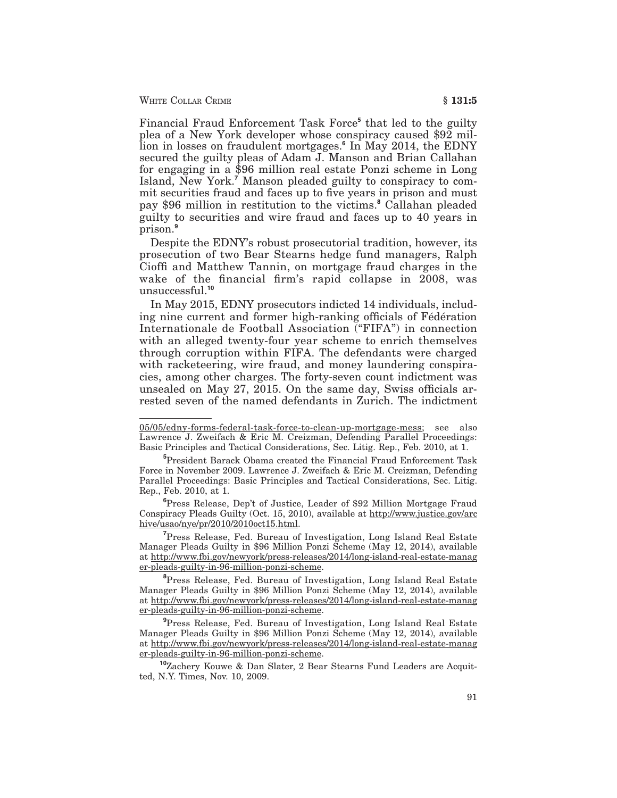WHITE COLLAR CRIME **§ 131:5**

Financial Fraud Enforcement Task Force**<sup>5</sup>** that led to the guilty plea of a New York developer whose conspiracy caused \$92 million in losses on fraudulent mortgages.**<sup>6</sup>** In May 2014, the EDNY secured the guilty pleas of Adam J. Manson and Brian Callahan for engaging in a \$96 million real estate Ponzi scheme in Long Island, New York.**<sup>7</sup>** Manson pleaded guilty to conspiracy to commit securities fraud and faces up to five years in prison and must pay \$96 million in restitution to the victims.**<sup>8</sup>** Callahan pleaded guilty to securities and wire fraud and faces up to 40 years in prison.**<sup>9</sup>**

Despite the EDNY's robust prosecutorial tradition, however, its prosecution of two Bear Stearns hedge fund managers, Ralph Cioffi and Matthew Tannin, on mortgage fraud charges in the wake of the financial firm's rapid collapse in 2008, was unsuccessful.**<sup>10</sup>**

In May 2015, EDNY prosecutors indicted 14 individuals, including nine current and former high-ranking officials of Fédération Internationale de Football Association ("FIFA") in connection with an alleged twenty-four year scheme to enrich themselves through corruption within FIFA. The defendants were charged with racketeering, wire fraud, and money laundering conspiracies, among other charges. The forty-seven count indictment was unsealed on May 27, 2015. On the same day, Swiss officials arrested seven of the named defendants in Zurich. The indictment

**6** Press Release, Dep't of Justice, Leader of \$92 Million Mortgage Fraud Conspiracy Pleads Guilty (Oct. 15, 2010), available at http://www.justice.gov/arc hive/usao/nye/pr/2010/2010oct15.html.

**7** Press Release, Fed. Bureau of Investigation, Long Island Real Estate Manager Pleads Guilty in \$96 Million Ponzi Scheme (May 12, 2014), available at http://www.fbi.gov/newyork/press-releases/2014/long-island-real-estate-manag er-pleads-guilty-in-96-million-ponzi-scheme.

**8** Press Release, Fed. Bureau of Investigation, Long Island Real Estate Manager Pleads Guilty in \$96 Million Ponzi Scheme (May 12, 2014), available at http://www.fbi.gov/newyork/press-releases/2014/long-island-real-estate-manag er-pleads-guilty-in-96-million-ponzi-scheme.

**9** Press Release, Fed. Bureau of Investigation, Long Island Real Estate Manager Pleads Guilty in \$96 Million Ponzi Scheme (May 12, 2014), available at http://www.fbi.gov/newyork/press-releases/2014/long-island-real-estate-manag er-pleads-guilty-in-96-million-ponzi-scheme.

**<sup>10</sup>**Zachery Kouwe & Dan Slater, 2 Bear Stearns Fund Leaders are Acquitted, N.Y. Times, Nov. 10, 2009.

<sup>05/05/</sup>edny-forms-federal-task-force-to-clean-up-mortgage-mess; see also Lawrence J. Zweifach & Eric M. Creizman, Defending Parallel Proceedings: Basic Principles and Tactical Considerations, Sec. Litig. Rep., Feb. 2010, at 1.

**<sup>5</sup>** President Barack Obama created the Financial Fraud Enforcement Task Force in November 2009. Lawrence J. Zweifach & Eric M. Creizman, Defending Parallel Proceedings: Basic Principles and Tactical Considerations, Sec. Litig. Rep., Feb. 2010, at 1.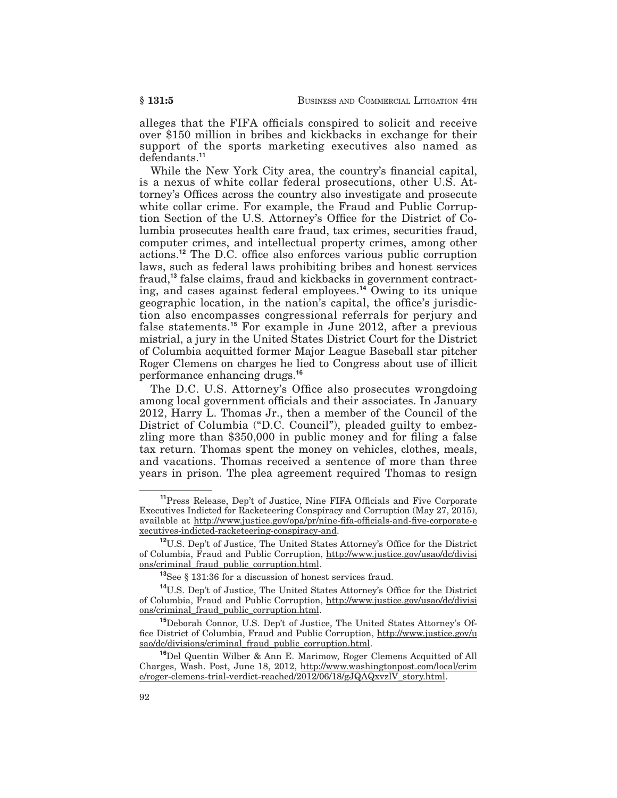alleges that the FIFA officials conspired to solicit and receive over \$150 million in bribes and kickbacks in exchange for their support of the sports marketing executives also named as defendants.**<sup>11</sup>**

While the New York City area, the country's financial capital, is a nexus of white collar federal prosecutions, other U.S. Attorney's Offices across the country also investigate and prosecute white collar crime. For example, the Fraud and Public Corruption Section of the U.S. Attorney's Office for the District of Columbia prosecutes health care fraud, tax crimes, securities fraud, computer crimes, and intellectual property crimes, among other actions.**<sup>12</sup>** The D.C. office also enforces various public corruption laws, such as federal laws prohibiting bribes and honest services fraud,**<sup>13</sup>** false claims, fraud and kickbacks in government contracting, and cases against federal employees.**<sup>14</sup>** Owing to its unique geographic location, in the nation's capital, the office's jurisdiction also encompasses congressional referrals for perjury and false statements.**<sup>15</sup>** For example in June 2012, after a previous mistrial, a jury in the United States District Court for the District of Columbia acquitted former Major League Baseball star pitcher Roger Clemens on charges he lied to Congress about use of illicit performance enhancing drugs.**<sup>16</sup>**

The D.C. U.S. Attorney's Office also prosecutes wrongdoing among local government officials and their associates. In January 2012, Harry L. Thomas Jr., then a member of the Council of the District of Columbia ("D.C. Council"), pleaded guilty to embezzling more than \$350,000 in public money and for filing a false tax return. Thomas spent the money on vehicles, clothes, meals, and vacations. Thomas received a sentence of more than three years in prison. The plea agreement required Thomas to resign

**<sup>11</sup>**Press Release, Dep't of Justice, Nine FIFA Officials and Five Corporate Executives Indicted for Racketeering Conspiracy and Corruption (May 27, 2015), available at http://www.justice.gov/opa/pr/nine-fifa-officials-and-five-corporate-e xecutives-indicted-racketeering-conspiracy-and.

**<sup>12</sup>**U.S. Dep't of Justice, The United States Attorney's Office for the District of Columbia, Fraud and Public Corruption, http://www.justice.gov/usao/dc/divisi ons/criminal\_fraud\_public\_corruption.html.

**<sup>13</sup>**See § 131:36 for a discussion of honest services fraud.

**<sup>14</sup>**U.S. Dep't of Justice, The United States Attorney's Office for the District of Columbia, Fraud and Public Corruption, http://www.justice.gov/usao/dc/divisi ons/criminal\_fraud\_public\_corruption.html.

**<sup>15</sup>**Deborah Connor, U.S. Dep't of Justice, The United States Attorney's Office District of Columbia, Fraud and Public Corruption, http://www.justice.gov/u sao/dc/divisions/criminal\_fraud\_public\_corruption.html.

**<sup>16</sup>**Del Quentin Wilber & Ann E. Marimow, Roger Clemens Acquitted of All Charges, Wash. Post, June 18, 2012, http://www.washingtonpost.com/local/crim e/roger-clemens-trial-verdict-reached/2012/06/18/gJQAQxvzlV\_story.html.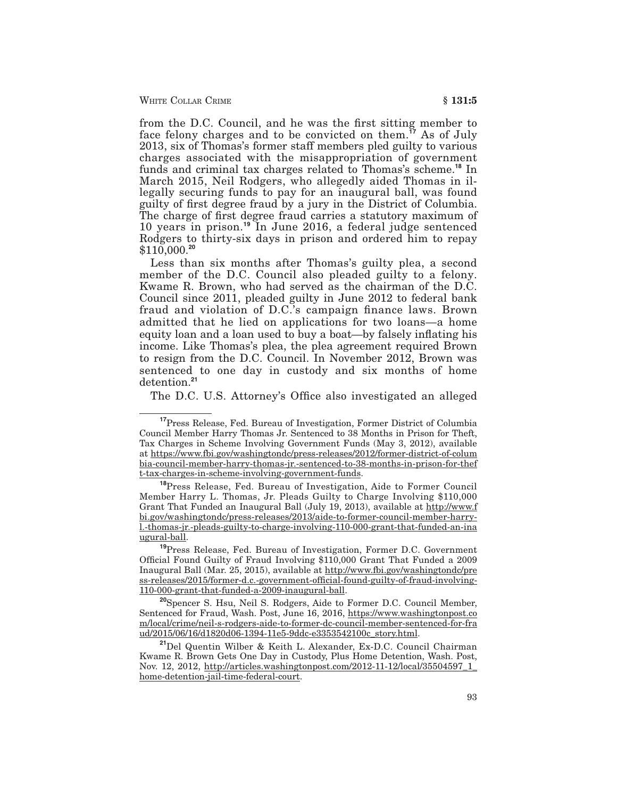WHITE COLLAR CRIME **6 § 131:5** 

from the D.C. Council, and he was the first sitting member to face felony charges and to be convicted on them.**<sup>17</sup>** As of July 2013, six of Thomas's former staff members pled guilty to various charges associated with the misappropriation of government funds and criminal tax charges related to Thomas's scheme.**<sup>18</sup>** In March 2015, Neil Rodgers, who allegedly aided Thomas in illegally securing funds to pay for an inaugural ball, was found guilty of first degree fraud by a jury in the District of Columbia. The charge of first degree fraud carries a statutory maximum of 10 years in prison.**<sup>19</sup>** In June 2016, a federal judge sentenced Rodgers to thirty-six days in prison and ordered him to repay \$110,000.**<sup>20</sup>**

Less than six months after Thomas's guilty plea, a second member of the D.C. Council also pleaded guilty to a felony. Kwame R. Brown, who had served as the chairman of the D.C. Council since 2011, pleaded guilty in June 2012 to federal bank fraud and violation of D.C.'s campaign finance laws. Brown admitted that he lied on applications for two loans—a home equity loan and a loan used to buy a boat—by falsely inflating his income. Like Thomas's plea, the plea agreement required Brown to resign from the D.C. Council. In November 2012, Brown was sentenced to one day in custody and six months of home detention.**<sup>21</sup>**

The D.C. U.S. Attorney's Office also investigated an alleged

**<sup>17</sup>**Press Release, Fed. Bureau of Investigation, Former District of Columbia Council Member Harry Thomas Jr. Sentenced to 38 Months in Prison for Theft, Tax Charges in Scheme Involving Government Funds (May 3, 2012), available at https://www.fbi.gov/washingtondc/press-releases/2012/former-district-of-colum bia-council-member-harry-thomas-jr.-sentenced-to-38-months-in-prison-for-thef t-tax-charges-in-scheme-involving-government-funds.

**<sup>18</sup>**Press Release, Fed. Bureau of Investigation, Aide to Former Council Member Harry L. Thomas, Jr. Pleads Guilty to Charge Involving \$110,000 Grant That Funded an Inaugural Ball (July 19, 2013), available at http://www.f bi.gov/washingtondc/press-releases/2013/aide-to-former-council-member-harryl.-thomas-jr.-pleads-guilty-to-charge-involving-110-000-grant-that-funded-an-ina ugural-ball.

**<sup>19</sup>**Press Release, Fed. Bureau of Investigation, Former D.C. Government Official Found Guilty of Fraud Involving \$110,000 Grant That Funded a 2009 Inaugural Ball (Mar. 25, 2015), available at http://www.fbi.gov/washingtondc/pre ss-releases/2015/former-d.c.-government-official-found-guilty-of-fraud-involving-110-000-grant-that-funded-a-2009-inaugural-ball.

**<sup>20</sup>**Spencer S. Hsu, Neil S. Rodgers, Aide to Former D.C. Council Member, Sentenced for Fraud, Wash. Post, June 16, 2016, https://www.washingtonpost.co m/local/crime/neil-s-rodgers-aide-to-former-dc-council-member-sentenced-for-fra ud/2015/06/16/d1820d06-1394-11e5-9ddc-e3353542100c\_story.html.

**<sup>21</sup>**Del Quentin Wilber & Keith L. Alexander, Ex-D.C. Council Chairman Kwame R. Brown Gets One Day in Custody, Plus Home Detention, Wash. Post, Nov. 12, 2012, http://articles.washingtonpost.com/2012-11-12/local/35504597\_1\_ home-detention-jail-time-federal-court.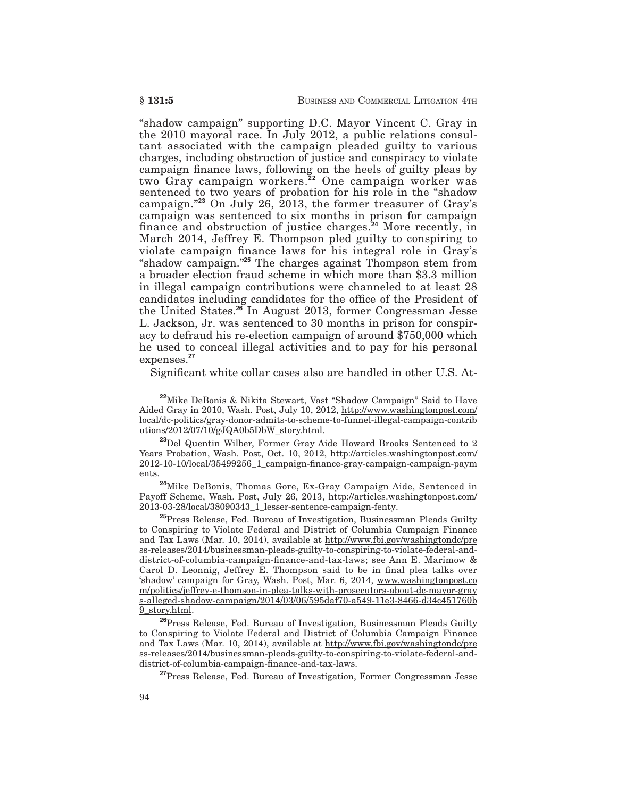"shadow campaign" supporting D.C. Mayor Vincent C. Gray in the 2010 mayoral race. In July 2012, a public relations consultant associated with the campaign pleaded guilty to various charges, including obstruction of justice and conspiracy to violate campaign finance laws, following on the heels of guilty pleas by two Gray campaign workers.**<sup>22</sup>** One campaign worker was sentenced to two years of probation for his role in the "shadow campaign."**<sup>23</sup>** On July 26, 2013, the former treasurer of Gray's campaign was sentenced to six months in prison for campaign finance and obstruction of justice charges.**<sup>24</sup>** More recently, in March 2014, Jeffrey E. Thompson pled guilty to conspiring to violate campaign finance laws for his integral role in Gray's "shadow campaign."**<sup>25</sup>** The charges against Thompson stem from a broader election fraud scheme in which more than \$3.3 million in illegal campaign contributions were channeled to at least 28 candidates including candidates for the office of the President of the United States.**<sup>26</sup>** In August 2013, former Congressman Jesse L. Jackson, Jr. was sentenced to 30 months in prison for conspiracy to defraud his re-election campaign of around \$750,000 which he used to conceal illegal activities and to pay for his personal expenses.**<sup>27</sup>**

Significant white collar cases also are handled in other U.S. At-

**<sup>22</sup>**Mike DeBonis & Nikita Stewart, Vast "Shadow Campaign" Said to Have Aided Gray in 2010, Wash. Post, July 10, 2012, http://www.washingtonpost.com/ local/dc-politics/gray-donor-admits-to-scheme-to-funnel-illegal-campaign-contrib utions/2012/07/10/gJQA0b5DbW\_story.html.

**<sup>23</sup>**Del Quentin Wilber, Former Gray Aide Howard Brooks Sentenced to 2 Years Probation, Wash. Post, Oct. 10, 2012, http://articles.washingtonpost.com/ 2012-10-10/local/35499256\_1\_campaign-finance-gray-campaign-campaign-paym ents.

**<sup>24</sup>**Mike DeBonis, Thomas Gore, Ex-Gray Campaign Aide, Sentenced in Payoff Scheme, Wash. Post, July 26, 2013, http://articles.washingtonpost.com/ 2013-03-28/local/38090343\_1\_lesser-sentence-campaign-fenty.

**<sup>25</sup>**Press Release, Fed. Bureau of Investigation, Businessman Pleads Guilty to Conspiring to Violate Federal and District of Columbia Campaign Finance and Tax Laws (Mar. 10, 2014), available at http://www.fbi.gov/washingtondc/pre ss-releases/2014/businessman-pleads-guilty-to-conspiring-to-violate-federal-anddistrict-of-columbia-campaign-finance-and-tax-laws; see Ann E. Marimow & Carol D. Leonnig, Jeffrey E. Thompson said to be in final plea talks over 'shadow' campaign for Gray, Wash. Post, Mar. 6, 2014, www.washingtonpost.co m/politics/jeffrey-e-thomson-in-plea-talks-with-prosecutors-about-dc-mayor-gray s-alleged-shadow-campaign/2014/03/06/595daf70-a549-11e3-8466-d34c451760b 9\_story.html.

**<sup>26</sup>**Press Release, Fed. Bureau of Investigation, Businessman Pleads Guilty to Conspiring to Violate Federal and District of Columbia Campaign Finance and Tax Laws (Mar. 10, 2014), available at http://www.fbi.gov/washingtondc/pre ss-releases/2014/businessman-pleads-guilty-to-conspiring-to-violate-federal-anddistrict-of-columbia-campaign-finance-and-tax-laws.

**<sup>27</sup>**Press Release, Fed. Bureau of Investigation, Former Congressman Jesse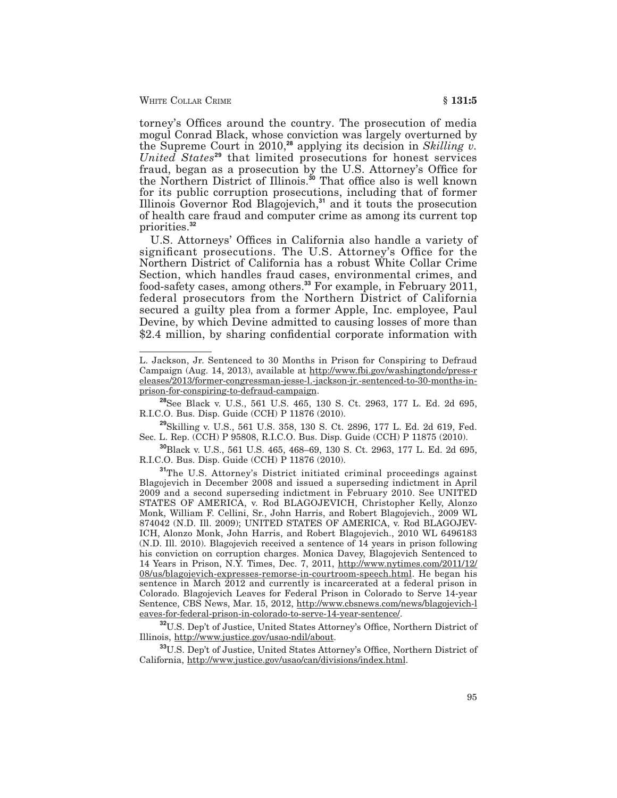torney's Offices around the country. The prosecution of media mogul Conrad Black, whose conviction was largely overturned by the Supreme Court in 2010,**<sup>28</sup>** applying its decision in *Skilling v. United States***<sup>29</sup>** that limited prosecutions for honest services fraud, began as a prosecution by the U.S. Attorney's Office for the Northern District of Illinois.**<sup>30</sup>** That office also is well known for its public corruption prosecutions, including that of former Illinois Governor Rod Blagojevich,**<sup>31</sup>** and it touts the prosecution of health care fraud and computer crime as among its current top priorities.**<sup>32</sup>**

U.S. Attorneys' Offices in California also handle a variety of significant prosecutions. The U.S. Attorney's Office for the Northern District of California has a robust White Collar Crime Section, which handles fraud cases, environmental crimes, and food-safety cases, among others.**<sup>33</sup>** For example, in February 2011, federal prosecutors from the Northern District of California secured a guilty plea from a former Apple, Inc. employee, Paul Devine, by which Devine admitted to causing losses of more than \$2.4 million, by sharing confidential corporate information with

L. Jackson, Jr. Sentenced to 30 Months in Prison for Conspiring to Defraud Campaign (Aug. 14, 2013), available at http://www.fbi.gov/washingtondc/press-r eleases/2013/former-congressman-jesse-l.-jackson-jr.-sentenced-to-30-months-inprison-for-conspiring-to-defraud-campaign.

**<sup>28</sup>**See Black v. U.S., 561 U.S. 465, 130 S. Ct. 2963, 177 L. Ed. 2d 695, R.I.C.O. Bus. Disp. Guide (CCH) P 11876 (2010).

**<sup>29</sup>**Skilling v. U.S., 561 U.S. 358, 130 S. Ct. 2896, 177 L. Ed. 2d 619, Fed. Sec. L. Rep. (CCH) P 95808, R.I.C.O. Bus. Disp. Guide (CCH) P 11875 (2010).

**<sup>30</sup>**Black v. U.S., 561 U.S. 465, 468–69, 130 S. Ct. 2963, 177 L. Ed. 2d 695, R.I.C.O. Bus. Disp. Guide (CCH) P 11876 (2010).

**<sup>31</sup>**The U.S. Attorney's District initiated criminal proceedings against Blagojevich in December 2008 and issued a superseding indictment in April 2009 and a second superseding indictment in February 2010. See UNITED STATES OF AMERICA, v. Rod BLAGOJEVICH, Christopher Kelly, Alonzo Monk, William F. Cellini, Sr., John Harris, and Robert Blagojevich., 2009 WL 874042 (N.D. Ill. 2009); UNITED STATES OF AMERICA, v. Rod BLAGOJEV-ICH, Alonzo Monk, John Harris, and Robert Blagojevich., 2010 WL 6496183 (N.D. Ill. 2010). Blagojevich received a sentence of 14 years in prison following his conviction on corruption charges. Monica Davey, Blagojevich Sentenced to 14 Years in Prison, N.Y. Times, Dec. 7, 2011, http://www.nytimes.com/2011/12/ 08/us/blagojevich-expresses-remorse-in-courtroom-speech.html. He began his sentence in March 2012 and currently is incarcerated at a federal prison in Colorado. Blagojevich Leaves for Federal Prison in Colorado to Serve 14-year Sentence, CBS News, Mar. 15, 2012, http://www.cbsnews.com/news/blagojevich-l eaves-for-federal-prison-in-colorado-to-serve-14-year-sentence/.

**<sup>32</sup>**U.S. Dep't of Justice, United States Attorney's Office, Northern District of Illinois, http://www.justice.gov/usao-ndil/about.

**<sup>33</sup>**U.S. Dep't of Justice, United States Attorney's Office, Northern District of California, http://www.justice.gov/usao/can/divisions/index.html.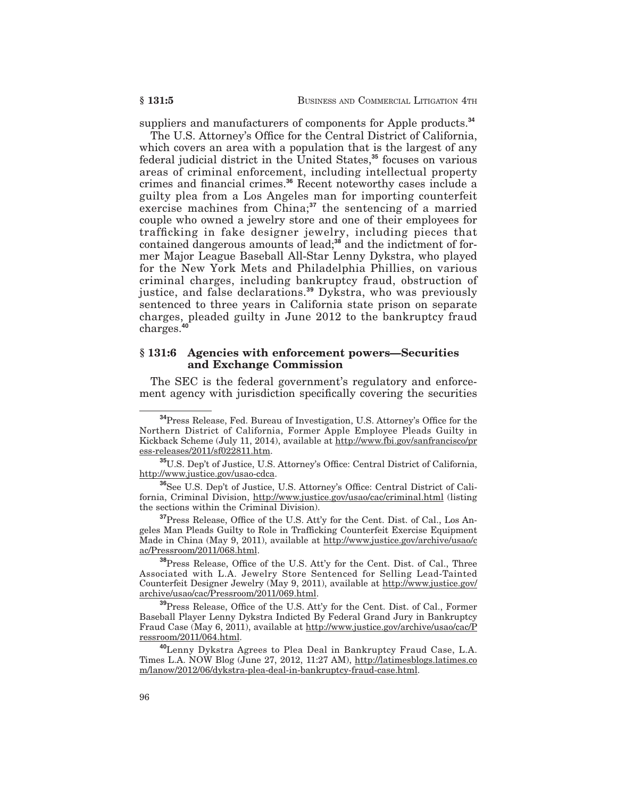suppliers and manufacturers of components for Apple products.**<sup>34</sup>**

The U.S. Attorney's Office for the Central District of California, which covers an area with a population that is the largest of any federal judicial district in the United States,**<sup>35</sup>** focuses on various areas of criminal enforcement, including intellectual property crimes and financial crimes.**<sup>36</sup>** Recent noteworthy cases include a guilty plea from a Los Angeles man for importing counterfeit exercise machines from China;**<sup>37</sup>** the sentencing of a married couple who owned a jewelry store and one of their employees for trafficking in fake designer jewelry, including pieces that contained dangerous amounts of lead;**<sup>38</sup>** and the indictment of former Major League Baseball All-Star Lenny Dykstra, who played for the New York Mets and Philadelphia Phillies, on various criminal charges, including bankruptcy fraud, obstruction of justice, and false declarations.**<sup>39</sup>** Dykstra, who was previously sentenced to three years in California state prison on separate charges, pleaded guilty in June 2012 to the bankruptcy fraud charges.**<sup>40</sup>**

#### **§ 131:6 Agencies with enforcement powers—Securities and Exchange Commission**

The SEC is the federal government's regulatory and enforcement agency with jurisdiction specifically covering the securities

**<sup>38</sup>**Press Release, Office of the U.S. Att'y for the Cent. Dist. of Cal., Three Associated with L.A. Jewelry Store Sentenced for Selling Lead-Tainted Counterfeit Designer Jewelry (May 9, 2011), available at http://www.justice.gov/ archive/usao/cac/Pressroom/2011/069.html.

**<sup>39</sup>**Press Release, Office of the U.S. Att'y for the Cent. Dist. of Cal., Former Baseball Player Lenny Dykstra Indicted By Federal Grand Jury in Bankruptcy Fraud Case (May 6, 2011), available at http://www.justice.gov/archive/usao/cac/P ressroom/2011/064.html.

**<sup>40</sup>**Lenny Dykstra Agrees to Plea Deal in Bankruptcy Fraud Case, L.A. Times L.A. NOW Blog (June 27, 2012, 11:27 AM), http://latimesblogs.latimes.co m/lanow/2012/06/dykstra-plea-deal-in-bankruptcy-fraud-case.html.

**<sup>34</sup>**Press Release, Fed. Bureau of Investigation, U.S. Attorney's Office for the Northern District of California, Former Apple Employee Pleads Guilty in Kickback Scheme (July 11, 2014), available at http://www.fbi.gov/sanfrancisco/pr ess-releases/2011/sf022811.htm.

**<sup>35</sup>**U.S. Dep't of Justice, U.S. Attorney's Office: Central District of California, http://www.justice.gov/usao-cdca.

**<sup>36</sup>**See U.S. Dep't of Justice, U.S. Attorney's Office: Central District of California, Criminal Division, http://www.justice.gov/usao/cac/criminal.html (listing the sections within the Criminal Division).

**<sup>37</sup>**Press Release, Office of the U.S. Att'y for the Cent. Dist. of Cal., Los Angeles Man Pleads Guilty to Role in Trafficking Counterfeit Exercise Equipment Made in China (May 9, 2011), available at http://www.justice.gov/archive/usao/c ac/Pressroom/2011/068.html.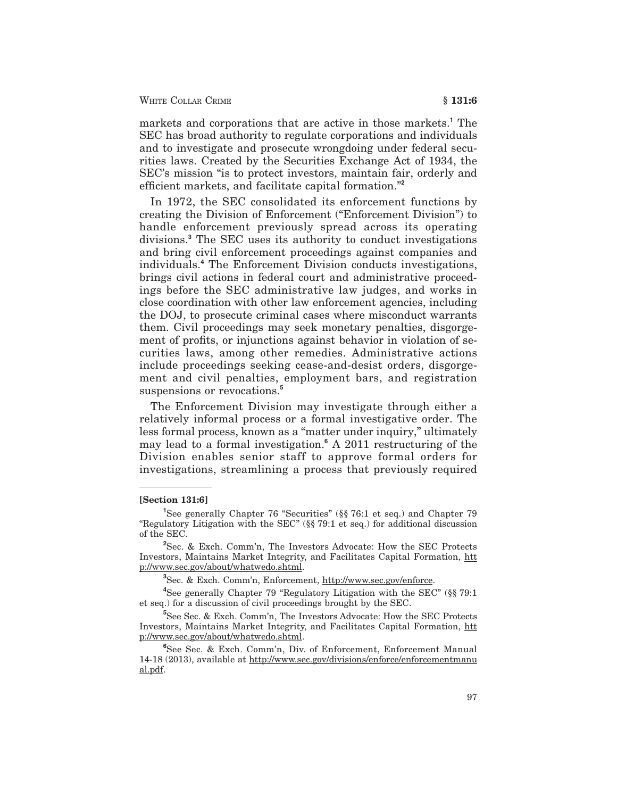markets and corporations that are active in those markets.**<sup>1</sup>** The SEC has broad authority to regulate corporations and individuals and to investigate and prosecute wrongdoing under federal securities laws. Created by the Securities Exchange Act of 1934, the SEC's mission "is to protect investors, maintain fair, orderly and efficient markets, and facilitate capital formation."**<sup>2</sup>**

In 1972, the SEC consolidated its enforcement functions by creating the Division of Enforcement ("Enforcement Division") to handle enforcement previously spread across its operating divisions.**<sup>3</sup>** The SEC uses its authority to conduct investigations and bring civil enforcement proceedings against companies and individuals.**<sup>4</sup>** The Enforcement Division conducts investigations, brings civil actions in federal court and administrative proceedings before the SEC administrative law judges, and works in close coordination with other law enforcement agencies, including the DOJ, to prosecute criminal cases where misconduct warrants them. Civil proceedings may seek monetary penalties, disgorgement of profits, or injunctions against behavior in violation of securities laws, among other remedies. Administrative actions include proceedings seeking cease-and-desist orders, disgorgement and civil penalties, employment bars, and registration suspensions or revocations.**<sup>5</sup>**

The Enforcement Division may investigate through either a relatively informal process or a formal investigative order. The less formal process, known as a "matter under inquiry," ultimately may lead to a formal investigation.**<sup>6</sup>** A 2011 restructuring of the Division enables senior staff to approve formal orders for investigations, streamlining a process that previously required

#### **[Section 131:6]**

**3** Sec. & Exch. Comm'n, Enforcement, http://www.sec.gov/enforce.

**4** See generally Chapter 79 "Regulatory Litigation with the SEC" (§§ 79:1 et seq.) for a discussion of civil proceedings brought by the SEC.

**5** See Sec. & Exch. Comm'n, The Investors Advocate: How the SEC Protects Investors, Maintains Market Integrity, and Facilitates Capital Formation, htt p://www.sec.gov/about/whatwedo.shtml.

<sup>&</sup>lt;sup>1</sup>See generally Chapter 76 "Securities" (§§ 76:1 et seq.) and Chapter 79 "Regulatory Litigation with the SEC" (§§ 79:1 et seq.) for additional discussion of the SEC.

**<sup>2</sup>** Sec. & Exch. Comm'n, The Investors Advocate: How the SEC Protects Investors, Maintains Market Integrity, and Facilitates Capital Formation, htt p://www.sec.gov/about/whatwedo.shtml.

**<sup>6</sup>** See Sec. & Exch. Comm'n, Div. of Enforcement, Enforcement Manual 14-18 (2013), available at http://www.sec.gov/divisions/enforce/enforcementmanu al.pdf.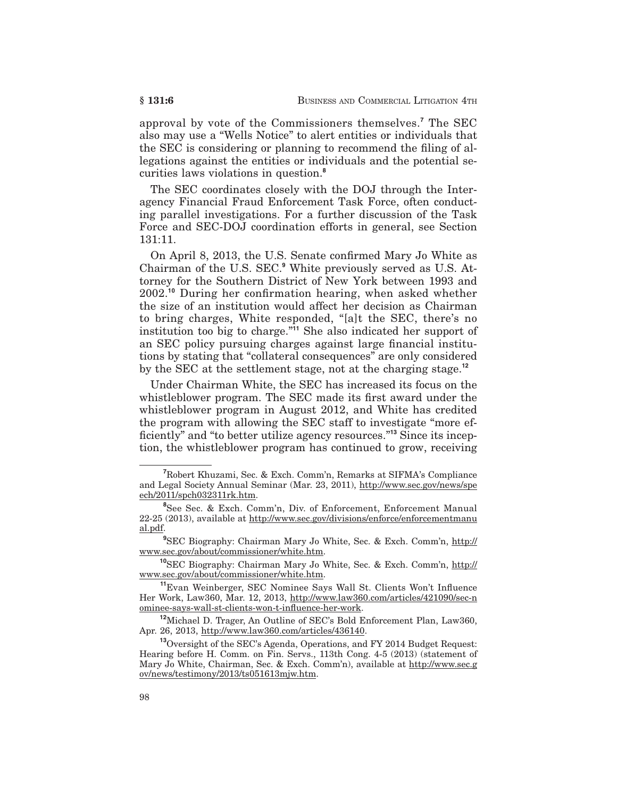approval by vote of the Commissioners themselves.**<sup>7</sup>** The SEC also may use a "Wells Notice" to alert entities or individuals that the SEC is considering or planning to recommend the filing of allegations against the entities or individuals and the potential securities laws violations in question.**<sup>8</sup>**

The SEC coordinates closely with the DOJ through the Interagency Financial Fraud Enforcement Task Force, often conducting parallel investigations. For a further discussion of the Task Force and SEC-DOJ coordination efforts in general, see Section 131:11.

On April 8, 2013, the U.S. Senate confirmed Mary Jo White as Chairman of the U.S. SEC.**<sup>9</sup>** White previously served as U.S. Attorney for the Southern District of New York between 1993 and 2002.**<sup>10</sup>** During her confirmation hearing, when asked whether the size of an institution would affect her decision as Chairman to bring charges, White responded, "[a]t the SEC, there's no institution too big to charge."**<sup>11</sup>** She also indicated her support of an SEC policy pursuing charges against large financial institutions by stating that "collateral consequences" are only considered by the SEC at the settlement stage, not at the charging stage.**<sup>12</sup>**

Under Chairman White, the SEC has increased its focus on the whistleblower program. The SEC made its first award under the whistleblower program in August 2012, and White has credited the program with allowing the SEC staff to investigate "more efficiently" and "to better utilize agency resources."**<sup>13</sup>** Since its inception, the whistleblower program has continued to grow, receiving

**<sup>7</sup>** Robert Khuzami, Sec. & Exch. Comm'n, Remarks at SIFMA's Compliance and Legal Society Annual Seminar (Mar. 23, 2011), http://www.sec.gov/news/spe ech/2011/spch032311rk.htm.

**<sup>8</sup>** See Sec. & Exch. Comm'n, Div. of Enforcement, Enforcement Manual 22-25 (2013), available at http://www.sec.gov/divisions/enforce/enforcementmanu al.pdf.

**<sup>9</sup>** SEC Biography: Chairman Mary Jo White, Sec. & Exch. Comm'n, http:// www.sec.gov/about/commissioner/white.htm.

**<sup>10</sup>**SEC Biography: Chairman Mary Jo White, Sec. & Exch. Comm'n, http:// www.sec.gov/about/commissioner/white.htm.

**<sup>11</sup>**Evan Weinberger, SEC Nominee Says Wall St. Clients Won't Influence Her Work, Law360, Mar. 12, 2013, http://www.law360.com/articles/421090/sec-n ominee-says-wall-st-clients-won-t-influence-her-work.

**<sup>12</sup>**Michael D. Trager, An Outline of SEC's Bold Enforcement Plan, Law360, Apr. 26, 2013, http://www.law360.com/articles/436140.

**<sup>13</sup>**Oversight of the SEC's Agenda, Operations, and FY 2014 Budget Request: Hearing before H. Comm. on Fin. Servs., 113th Cong. 4-5 (2013) (statement of Mary Jo White, Chairman, Sec. & Exch. Comm'n), available at http://www.sec.g ov/news/testimony/2013/ts051613mjw.htm.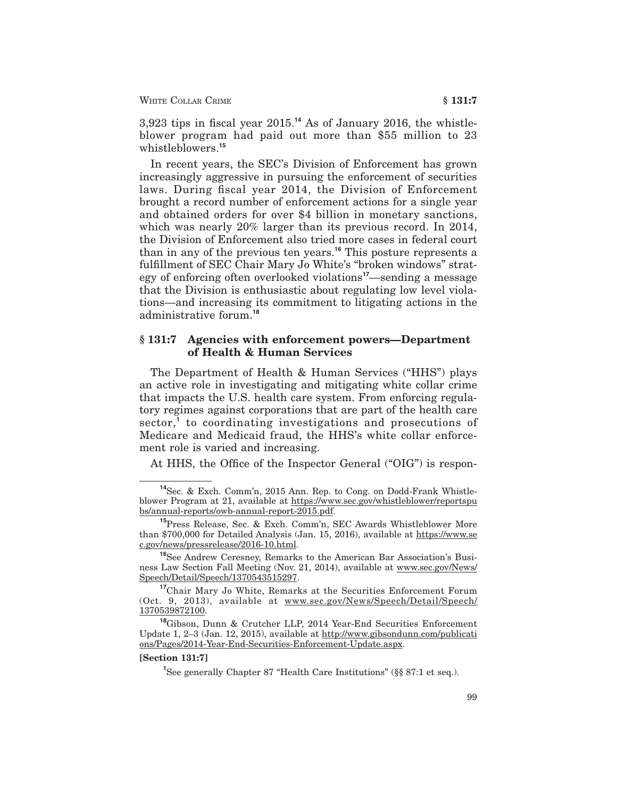WHITE COLLAR CRIME **§ 131:7** 

3,923 tips in fiscal year 2015.**<sup>14</sup>** As of January 2016, the whistleblower program had paid out more than \$55 million to 23 whistleblowers.**<sup>15</sup>**

In recent years, the SEC's Division of Enforcement has grown increasingly aggressive in pursuing the enforcement of securities laws. During fiscal year 2014, the Division of Enforcement brought a record number of enforcement actions for a single year and obtained orders for over \$4 billion in monetary sanctions, which was nearly 20% larger than its previous record. In 2014, the Division of Enforcement also tried more cases in federal court than in any of the previous ten years.**<sup>16</sup>** This posture represents a fulfillment of SEC Chair Mary Jo White's "broken windows" strategy of enforcing often overlooked violations**<sup>17</sup>**—sending a message that the Division is enthusiastic about regulating low level violations—and increasing its commitment to litigating actions in the administrative forum.**<sup>18</sup>**

### **§ 131:7 Agencies with enforcement powers—Department of Health & Human Services**

The Department of Health & Human Services ("HHS") plays an active role in investigating and mitigating white collar crime that impacts the U.S. health care system. From enforcing regulatory regimes against corporations that are part of the health care sector,**<sup>1</sup>** to coordinating investigations and prosecutions of Medicare and Medicaid fraud, the HHS's white collar enforcement role is varied and increasing.

At HHS, the Office of the Inspector General ("OIG") is respon-

#### **[Section 131:7]**

**<sup>14</sup>**Sec. & Exch. Comm'n, 2015 Ann. Rep. to Cong. on Dodd-Frank Whistleblower Program at 21, available at https://www.sec.gov/whistleblower/reportspu bs/annual-reports/owb-annual-report-2015.pdf.

**<sup>15</sup>**Press Release, Sec. & Exch. Comm'n, SEC Awards Whistleblower More than \$700,000 for Detailed Analysis (Jan. 15, 2016), available at https://www.se c.gov/news/pressrelease/2016-10.html.

**<sup>16</sup>**See Andrew Ceresney, Remarks to the American Bar Association's Business Law Section Fall Meeting (Nov. 21, 2014), available at www.sec.gov/News/ Speech/Detail/Speech/1370543515297.

**<sup>17</sup>**Chair Mary Jo White, Remarks at the Securities Enforcement Forum (Oct. 9, 2013), available at www.sec.gov/News/Speech/Detail/Speech/ 1370539872100.

**<sup>18</sup>**Gibson, Dunn & Crutcher LLP, 2014 Year-End Securities Enforcement Update 1, 2–3 (Jan. 12, 2015), available at http://www.gibsondunn.com/publicati ons/Pages/2014-Year-End-Securities-Enforcement-Update.aspx.

<sup>&</sup>lt;sup>1</sup>See generally Chapter 87 "Health Care Institutions" (§§ 87:1 et seq.).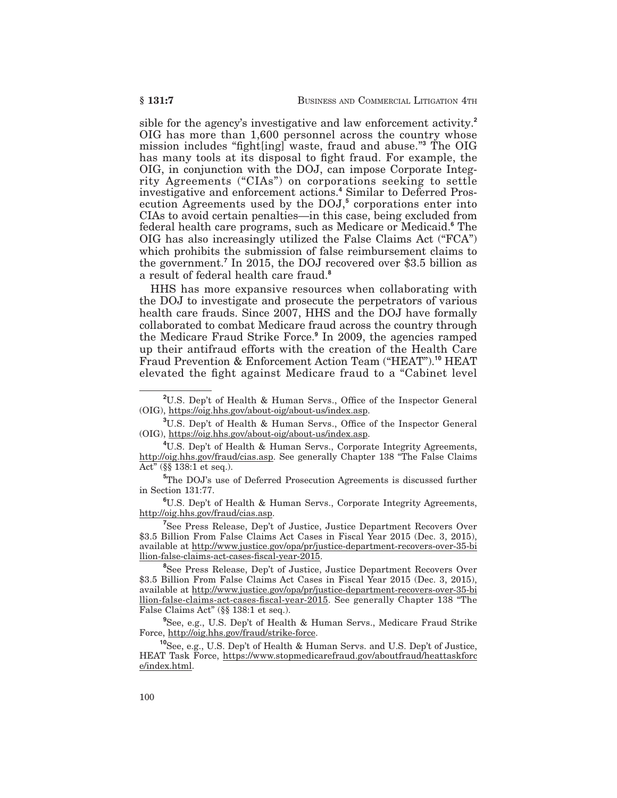sible for the agency's investigative and law enforcement activity.**<sup>2</sup>** OIG has more than 1,600 personnel across the country whose mission includes "fight[ing] waste, fraud and abuse."**<sup>3</sup>** The OIG has many tools at its disposal to fight fraud. For example, the OIG, in conjunction with the DOJ, can impose Corporate Integrity Agreements ("CIAs") on corporations seeking to settle investigative and enforcement actions.**<sup>4</sup>** Similar to Deferred Prosecution Agreements used by the DOJ,**<sup>5</sup>** corporations enter into CIAs to avoid certain penalties—in this case, being excluded from federal health care programs, such as Medicare or Medicaid.**<sup>6</sup>** The OIG has also increasingly utilized the False Claims Act ("FCA") which prohibits the submission of false reimbursement claims to the government.**<sup>7</sup>** In 2015, the DOJ recovered over \$3.5 billion as a result of federal health care fraud.**<sup>8</sup>**

HHS has more expansive resources when collaborating with the DOJ to investigate and prosecute the perpetrators of various health care frauds. Since 2007, HHS and the DOJ have formally collaborated to combat Medicare fraud across the country through the Medicare Fraud Strike Force.**<sup>9</sup>** In 2009, the agencies ramped up their antifraud efforts with the creation of the Health Care Fraud Prevention & Enforcement Action Team ("HEAT").**<sup>10</sup>** HEAT elevated the fight against Medicare fraud to a "Cabinet level

**6** U.S. Dep't of Health & Human Servs., Corporate Integrity Agreements, http://oig.hhs.gov/fraud/cias.asp.

**7** See Press Release, Dep't of Justice, Justice Department Recovers Over \$3.5 Billion From False Claims Act Cases in Fiscal Year 2015 (Dec. 3, 2015), available at http://www.justice.gov/opa/pr/justice-department-recovers-over-35-bi llion-false-claims-act-cases-fiscal-year-2015.

**8** See Press Release, Dep't of Justice, Justice Department Recovers Over \$3.5 Billion From False Claims Act Cases in Fiscal Year 2015 (Dec. 3, 2015), available at http://www.justice.gov/opa/pr/justice-department-recovers-over-35-bi llion-false-claims-act-cases-fiscal-year-2015. See generally Chapter 138 "The False Claims Act" (§§ 138:1 et seq.).

**9** See, e.g., U.S. Dep't of Health & Human Servs., Medicare Fraud Strike Force, http://oig.hhs.gov/fraud/strike-force.

**<sup>10</sup>**See, e.g., U.S. Dep't of Health & Human Servs. and U.S. Dep't of Justice, HEAT Task Force, https://www.stopmedicarefraud.gov/aboutfraud/heattaskforc e/index.html.

**<sup>2</sup>** U.S. Dep't of Health & Human Servs., Office of the Inspector General (OIG), https://oig.hhs.gov/about-oig/about-us/index.asp.

**<sup>3</sup>** U.S. Dep't of Health & Human Servs., Office of the Inspector General (OIG), https://oig.hhs.gov/about-oig/about-us/index.asp.

**<sup>4</sup>** U.S. Dep't of Health & Human Servs., Corporate Integrity Agreements, http://oig.hhs.gov/fraud/cias.asp. See generally Chapter 138 "The False Claims Act" (§§ 138:1 et seq.).

**<sup>5</sup>** The DOJ's use of Deferred Prosecution Agreements is discussed further in Section 131:77.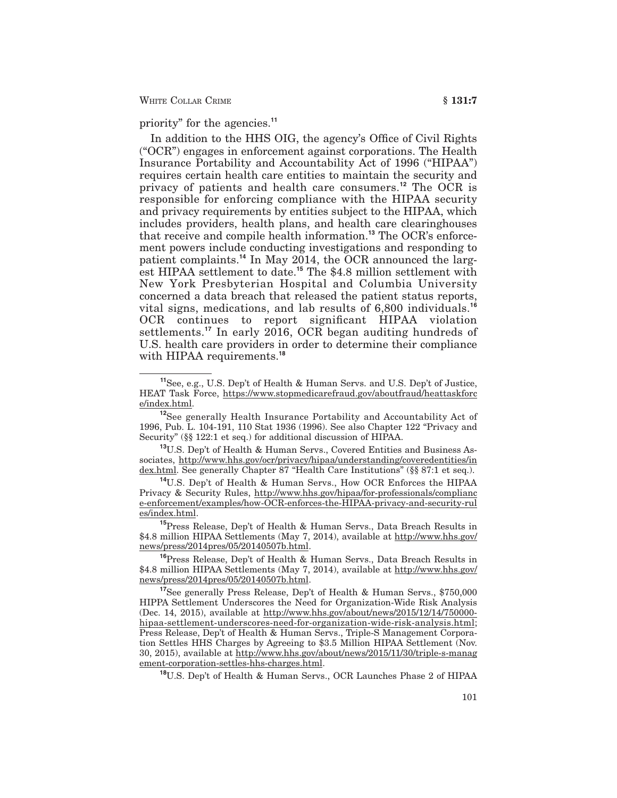WHITE COLLAR CRIME **6 131:7** 

priority" for the agencies.**<sup>11</sup>**

In addition to the HHS OIG, the agency's Office of Civil Rights ("OCR") engages in enforcement against corporations. The Health Insurance Portability and Accountability Act of 1996 ("HIPAA") requires certain health care entities to maintain the security and privacy of patients and health care consumers.**<sup>12</sup>** The OCR is responsible for enforcing compliance with the HIPAA security and privacy requirements by entities subject to the HIPAA, which includes providers, health plans, and health care clearinghouses that receive and compile health information.**<sup>13</sup>** The OCR's enforcement powers include conducting investigations and responding to patient complaints.**<sup>14</sup>** In May 2014, the OCR announced the largest HIPAA settlement to date.**<sup>15</sup>** The \$4.8 million settlement with New York Presbyterian Hospital and Columbia University concerned a data breach that released the patient status reports, vital signs, medications, and lab results of 6,800 individuals.**<sup>16</sup>** OCR continues to report significant HIPAA violation settlements.**<sup>17</sup>** In early 2016, OCR began auditing hundreds of U.S. health care providers in order to determine their compliance with HIPAA requirements.**<sup>18</sup>**

**<sup>13</sup>**U.S. Dep't of Health & Human Servs., Covered Entities and Business Associates, http://www.hhs.gov/ocr/privacy/hipaa/understanding/coveredentities/in dex.html. See generally Chapter 87 "Health Care Institutions" (§§ 87:1 et seq.).

**<sup>14</sup>**U.S. Dep't of Health & Human Servs., How OCR Enforces the HIPAA Privacy & Security Rules, http://www.hhs.gov/hipaa/for-professionals/complianc e-enforcement/examples/how-OCR-enforces-the-HIPAA-privacy-and-security-rul es/index.html.

**<sup>15</sup>**Press Release, Dep't of Health & Human Servs., Data Breach Results in \$4.8 million HIPAA Settlements (May 7, 2014), available at http://www.hhs.gov/ news/press/2014pres/05/20140507b.html.

**<sup>16</sup>**Press Release, Dep't of Health & Human Servs., Data Breach Results in \$4.8 million HIPAA Settlements (May 7, 2014), available at http://www.hhs.gov/ news/press/2014pres/05/20140507b.html.

**<sup>17</sup>**See generally Press Release, Dep't of Health & Human Servs., \$750,000 HIPPA Settlement Underscores the Need for Organization-Wide Risk Analysis (Dec. 14, 2015), available at http://www.hhs.gov/about/news/2015/12/14/750000hipaa-settlement-underscores-need-for-organization-wide-risk-analysis.html; Press Release, Dep't of Health & Human Servs., Triple-S Management Corporation Settles HHS Charges by Agreeing to \$3.5 Million HIPAA Settlement (Nov. 30, 2015), available at http://www.hhs.gov/about/news/2015/11/30/triple-s-manag ement-corporation-settles-hhs-charges.html.

**<sup>18</sup>**U.S. Dep't of Health & Human Servs., OCR Launches Phase 2 of HIPAA

**<sup>11</sup>**See, e.g., U.S. Dep't of Health & Human Servs. and U.S. Dep't of Justice, HEAT Task Force, https://www.stopmedicarefraud.gov/aboutfraud/heattaskforc e/index.html.

**<sup>12</sup>**See generally Health Insurance Portability and Accountability Act of 1996, Pub. L. 104-191, 110 Stat 1936 (1996). See also Chapter 122 "Privacy and Security" (§§ 122:1 et seq.) for additional discussion of HIPAA.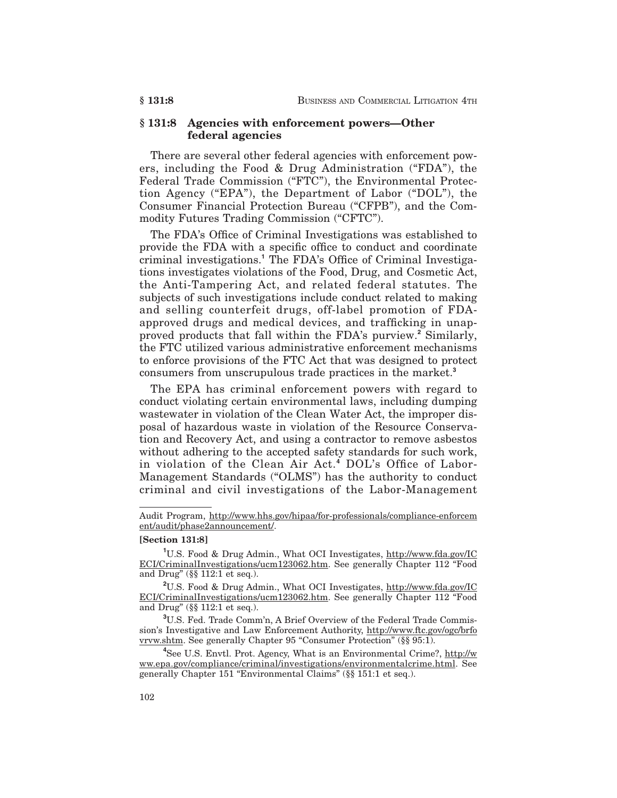#### **§ 131:8 Agencies with enforcement powers—Other federal agencies**

There are several other federal agencies with enforcement powers, including the Food & Drug Administration ("FDA"), the Federal Trade Commission ("FTC"), the Environmental Protection Agency ("EPA"), the Department of Labor ("DOL"), the Consumer Financial Protection Bureau ("CFPB"), and the Commodity Futures Trading Commission ("CFTC").

The FDA's Office of Criminal Investigations was established to provide the FDA with a specific office to conduct and coordinate criminal investigations.**<sup>1</sup>** The FDA's Office of Criminal Investigations investigates violations of the Food, Drug, and Cosmetic Act, the Anti-Tampering Act, and related federal statutes. The subjects of such investigations include conduct related to making and selling counterfeit drugs, off-label promotion of FDAapproved drugs and medical devices, and trafficking in unapproved products that fall within the FDA's purview.**<sup>2</sup>** Similarly, the FTC utilized various administrative enforcement mechanisms to enforce provisions of the FTC Act that was designed to protect consumers from unscrupulous trade practices in the market.**<sup>3</sup>**

The EPA has criminal enforcement powers with regard to conduct violating certain environmental laws, including dumping wastewater in violation of the Clean Water Act, the improper disposal of hazardous waste in violation of the Resource Conservation and Recovery Act, and using a contractor to remove asbestos without adhering to the accepted safety standards for such work, in violation of the Clean Air Act.**<sup>4</sup>** DOL's Office of Labor-Management Standards ("OLMS") has the authority to conduct criminal and civil investigations of the Labor-Management

#### **[Section 131:8]**

Audit Program, http://www.hhs.gov/hipaa/for-professionals/compliance-enforcem ent/audit/phase2announcement/.

<sup>&</sup>lt;sup>1</sup>U.S. Food & Drug Admin., What OCI Investigates, http://www.fda.gov/IC ECI/CriminalInvestigations/ucm123062.htm. See generally Chapter 112 "Food and Drug" (§§ 112:1 et seq.).

**<sup>2</sup>** U.S. Food & Drug Admin., What OCI Investigates, http://www.fda.gov/IC ECI/CriminalInvestigations/ucm123062.htm. See generally Chapter 112 "Food and Drug" (§§ 112:1 et seq.).

**<sup>3</sup>** U.S. Fed. Trade Comm'n, A Brief Overview of the Federal Trade Commission's Investigative and Law Enforcement Authority, http://www.ftc.gov/ogc/brfo vrvw.shtm. See generally Chapter 95 "Consumer Protection" (§§ 95:1).

**<sup>4</sup>** See U.S. Envtl. Prot. Agency, What is an Environmental Crime?, http://w ww.epa.gov/compliance/criminal/investigations/environmentalcrime.html. See generally Chapter 151 "Environmental Claims" (§§ 151:1 et seq.).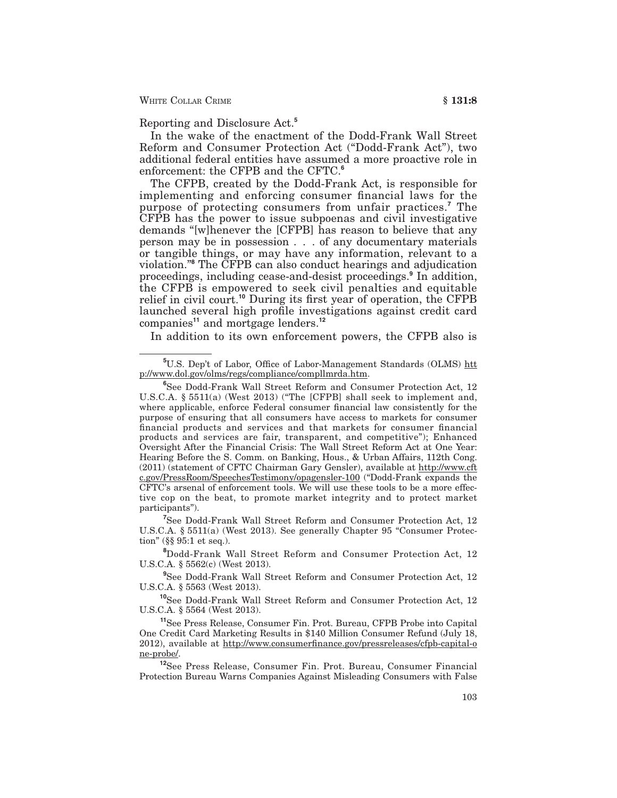Reporting and Disclosure Act.**<sup>5</sup>**

In the wake of the enactment of the Dodd-Frank Wall Street Reform and Consumer Protection Act ("Dodd-Frank Act"), two additional federal entities have assumed a more proactive role in enforcement: the CFPB and the CFTC.**<sup>6</sup>**

The CFPB, created by the Dodd-Frank Act, is responsible for implementing and enforcing consumer financial laws for the purpose of protecting consumers from unfair practices.**<sup>7</sup>** The CFPB has the power to issue subpoenas and civil investigative demands "[w]henever the [CFPB] has reason to believe that any person may be in possession . . . of any documentary materials or tangible things, or may have any information, relevant to a violation."**<sup>8</sup>** The CFPB can also conduct hearings and adjudication proceedings, including cease-and-desist proceedings.**<sup>9</sup>** In addition, the CFPB is empowered to seek civil penalties and equitable relief in civil court.**<sup>10</sup>** During its first year of operation, the CFPB launched several high profile investigations against credit card companies**<sup>11</sup>** and mortgage lenders.**<sup>12</sup>**

In addition to its own enforcement powers, the CFPB also is

**7** See Dodd-Frank Wall Street Reform and Consumer Protection Act, 12 U.S.C.A. § 5511(a) (West 2013). See generally Chapter 95 "Consumer Protection" (§§ 95:1 et seq.).

**8** Dodd-Frank Wall Street Reform and Consumer Protection Act, 12 U.S.C.A. § 5562(c) (West 2013).

**9** See Dodd-Frank Wall Street Reform and Consumer Protection Act, 12 U.S.C.A. § 5563 (West 2013).

**<sup>10</sup>**See Dodd-Frank Wall Street Reform and Consumer Protection Act, 12 U.S.C.A. § 5564 (West 2013).

**<sup>11</sup>**See Press Release, Consumer Fin. Prot. Bureau, CFPB Probe into Capital One Credit Card Marketing Results in \$140 Million Consumer Refund (July 18, 2012), available at http://www.consumerfinance.gov/pressreleases/cfpb-capital-o ne-probe/.

**<sup>12</sup>**See Press Release, Consumer Fin. Prot. Bureau, Consumer Financial Protection Bureau Warns Companies Against Misleading Consumers with False

<sup>&</sup>lt;sup>5</sup>U.S. Dep't of Labor, Office of Labor-Management Standards (OLMS) htt p://www.dol.gov/olms/regs/compliance/compllmrda.htm.

**<sup>6</sup>** See Dodd-Frank Wall Street Reform and Consumer Protection Act, 12 U.S.C.A. § 5511(a) (West 2013) ("The [CFPB] shall seek to implement and, where applicable, enforce Federal consumer financial law consistently for the purpose of ensuring that all consumers have access to markets for consumer financial products and services and that markets for consumer financial products and services are fair, transparent, and competitive"); Enhanced Oversight After the Financial Crisis: The Wall Street Reform Act at One Year: Hearing Before the S. Comm. on Banking, Hous., & Urban Affairs, 112th Cong. (2011) (statement of CFTC Chairman Gary Gensler), available at http://www.cft c.gov/PressRoom/SpeechesTestimony/opagensler-100 ("Dodd-Frank expands the CFTC's arsenal of enforcement tools. We will use these tools to be a more effective cop on the beat, to promote market integrity and to protect market participants").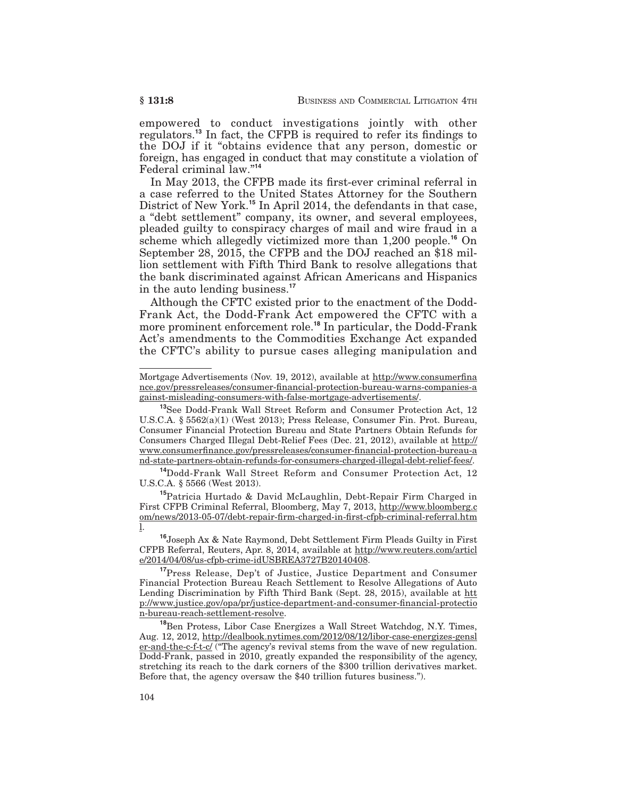empowered to conduct investigations jointly with other regulators.**<sup>13</sup>** In fact, the CFPB is required to refer its findings to the DOJ if it "obtains evidence that any person, domestic or foreign, has engaged in conduct that may constitute a violation of Federal criminal law."**<sup>14</sup>**

In May 2013, the CFPB made its first-ever criminal referral in a case referred to the United States Attorney for the Southern District of New York.**<sup>15</sup>** In April 2014, the defendants in that case, a "debt settlement" company, its owner, and several employees, pleaded guilty to conspiracy charges of mail and wire fraud in a scheme which allegedly victimized more than 1,200 people.**<sup>16</sup>** On September 28, 2015, the CFPB and the DOJ reached an \$18 million settlement with Fifth Third Bank to resolve allegations that the bank discriminated against African Americans and Hispanics in the auto lending business.**<sup>17</sup>**

Although the CFTC existed prior to the enactment of the Dodd-Frank Act, the Dodd-Frank Act empowered the CFTC with a more prominent enforcement role.**<sup>18</sup>** In particular, the Dodd-Frank Act's amendments to the Commodities Exchange Act expanded the CFTC's ability to pursue cases alleging manipulation and

**<sup>14</sup>**Dodd-Frank Wall Street Reform and Consumer Protection Act, 12 U.S.C.A. § 5566 (West 2013).

**<sup>15</sup>**Patricia Hurtado & David McLaughlin, Debt-Repair Firm Charged in First CFPB Criminal Referral, Bloomberg, May 7, 2013, http://www.bloomberg.c om/news/2013-05-07/debt-repair-firm-charged-in-first-cfpb-criminal-referral.htm l.

**<sup>16</sup>**Joseph Ax & Nate Raymond, Debt Settlement Firm Pleads Guilty in First CFPB Referral, Reuters, Apr. 8, 2014, available at http://www.reuters.com/articl e/2014/04/08/us-cfpb-crime-idUSBREA3727B20140408.

**<sup>17</sup>**Press Release, Dep't of Justice, Justice Department and Consumer Financial Protection Bureau Reach Settlement to Resolve Allegations of Auto Lending Discrimination by Fifth Third Bank (Sept. 28, 2015), available at htt p://www.justice.gov/opa/pr/justice-department-and-consumer-financial-protectio n-bureau-reach-settlement-resolve.

**<sup>18</sup>**Ben Protess, Libor Case Energizes a Wall Street Watchdog, N.Y. Times, Aug. 12, 2012, http://dealbook.nytimes.com/2012/08/12/libor-case-energizes-gensl er-and-the-c-f-t-c/ ("The agency's revival stems from the wave of new regulation. Dodd-Frank, passed in 2010, greatly expanded the responsibility of the agency, stretching its reach to the dark corners of the \$300 trillion derivatives market. Before that, the agency oversaw the \$40 trillion futures business.").

Mortgage Advertisements (Nov. 19, 2012), available at http://www.consumerfina nce.gov/pressreleases/consumer-financial-protection-bureau-warns-companies-a gainst-misleading-consumers-with-false-mortgage-advertisements/.

**<sup>13</sup>**See Dodd-Frank Wall Street Reform and Consumer Protection Act, 12 U.S.C.A. § 5562(a)(1) (West 2013); Press Release, Consumer Fin. Prot. Bureau, Consumer Financial Protection Bureau and State Partners Obtain Refunds for Consumers Charged Illegal Debt-Relief Fees (Dec. 21, 2012), available at http:// www.consumerfinance.gov/pressreleases/consumer-financial-protection-bureau-a nd-state-partners-obtain-refunds-for-consumers-charged-illegal-debt-relief-fees/.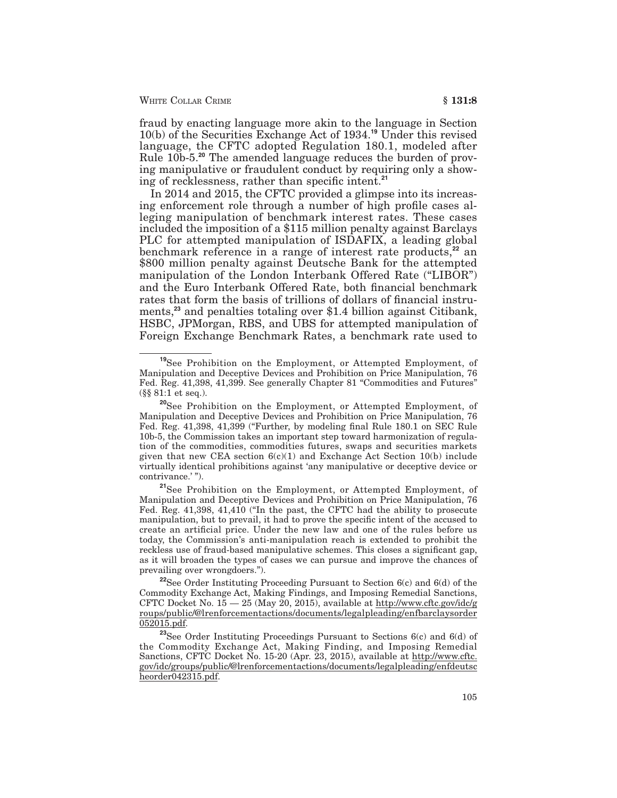fraud by enacting language more akin to the language in Section 10(b) of the Securities Exchange Act of 1934.**<sup>19</sup>** Under this revised language, the CFTC adopted Regulation 180.1, modeled after Rule 10b-5.**<sup>20</sup>** The amended language reduces the burden of proving manipulative or fraudulent conduct by requiring only a showing of recklessness, rather than specific intent.**<sup>21</sup>**

In 2014 and 2015, the CFTC provided a glimpse into its increasing enforcement role through a number of high profile cases alleging manipulation of benchmark interest rates. These cases included the imposition of a \$115 million penalty against Barclays PLC for attempted manipulation of ISDAFIX, a leading global benchmark reference in a range of interest rate products,**<sup>22</sup>** an \$800 million penalty against Deutsche Bank for the attempted manipulation of the London Interbank Offered Rate ("LIBOR") and the Euro Interbank Offered Rate, both financial benchmark rates that form the basis of trillions of dollars of financial instruments,**<sup>23</sup>** and penalties totaling over \$1.4 billion against Citibank, HSBC, JPMorgan, RBS, and UBS for attempted manipulation of Foreign Exchange Benchmark Rates, a benchmark rate used to

**<sup>19</sup>**See Prohibition on the Employment, or Attempted Employment, of Manipulation and Deceptive Devices and Prohibition on Price Manipulation, 76 Fed. Reg. 41,398, 41,399. See generally Chapter 81 "Commodities and Futures" (§§ 81:1 et seq.).

**<sup>20</sup>**See Prohibition on the Employment, or Attempted Employment, of Manipulation and Deceptive Devices and Prohibition on Price Manipulation, 76 Fed. Reg. 41,398, 41,399 ("Further, by modeling final Rule 180.1 on SEC Rule 10b-5, the Commission takes an important step toward harmonization of regulation of the commodities, commodities futures, swaps and securities markets given that new CEA section  $6(c)(1)$  and Exchange Act Section 10(b) include virtually identical prohibitions against 'any manipulative or deceptive device or contrivance.'").

**<sup>21</sup>**See Prohibition on the Employment, or Attempted Employment, of Manipulation and Deceptive Devices and Prohibition on Price Manipulation, 76 Fed. Reg. 41,398, 41,410 ("In the past, the CFTC had the ability to prosecute manipulation, but to prevail, it had to prove the specific intent of the accused to create an artificial price. Under the new law and one of the rules before us today, the Commission's anti-manipulation reach is extended to prohibit the reckless use of fraud-based manipulative schemes. This closes a significant gap, as it will broaden the types of cases we can pursue and improve the chances of prevailing over wrongdoers.").

**<sup>22</sup>**See Order Instituting Proceeding Pursuant to Section 6(c) and 6(d) of the Commodity Exchange Act, Making Findings, and Imposing Remedial Sanctions, CFTC Docket No.  $15 - 25$  (May 20, 2015), available at http://www.cftc.gov/idc/g roups/public/@lrenforcementactions/documents/legalpleading/enfbarclaysorder 052015.pdf.

**<sup>23</sup>**See Order Instituting Proceedings Pursuant to Sections 6(c) and 6(d) of the Commodity Exchange Act, Making Finding, and Imposing Remedial Sanctions, CFTC Docket No. 15-20 (Apr. 23, 2015), available at http://www.cftc. gov/idc/groups/public/@lrenforcementactions/documents/legalpleading/enfdeutsc heorder042315.pdf.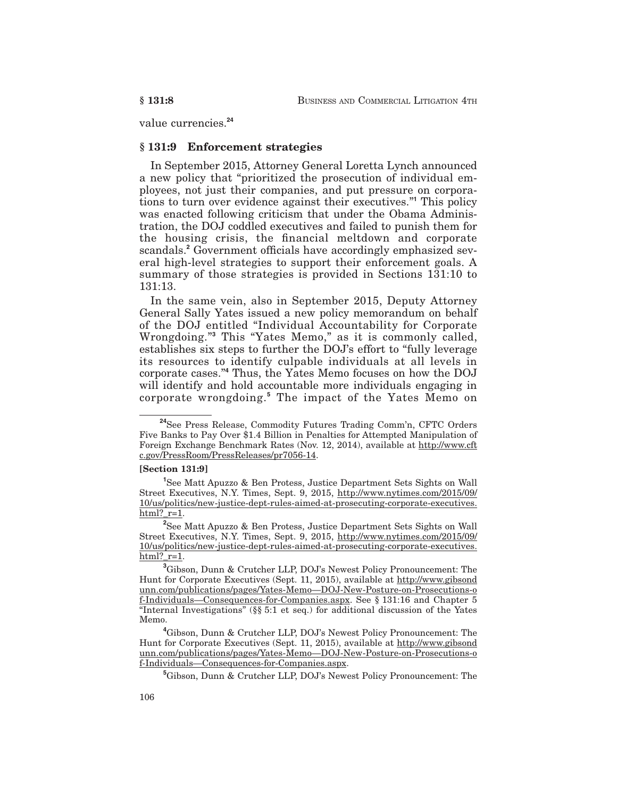value currencies.**<sup>24</sup>**

#### **§ 131:9 Enforcement strategies**

In September 2015, Attorney General Loretta Lynch announced a new policy that "prioritized the prosecution of individual employees, not just their companies, and put pressure on corporations to turn over evidence against their executives."**<sup>1</sup>** This policy was enacted following criticism that under the Obama Administration, the DOJ coddled executives and failed to punish them for the housing crisis, the financial meltdown and corporate scandals.**<sup>2</sup>** Government officials have accordingly emphasized several high-level strategies to support their enforcement goals. A summary of those strategies is provided in Sections 131:10 to 131:13.

In the same vein, also in September 2015, Deputy Attorney General Sally Yates issued a new policy memorandum on behalf of the DOJ entitled "Individual Accountability for Corporate Wrongdoing."**<sup>3</sup>** This "Yates Memo," as it is commonly called, establishes six steps to further the DOJ's effort to "fully leverage its resources to identify culpable individuals at all levels in corporate cases."**<sup>4</sup>** Thus, the Yates Memo focuses on how the DOJ will identify and hold accountable more individuals engaging in corporate wrongdoing.**<sup>5</sup>** The impact of the Yates Memo on

#### **[Section 131:9]**

**<sup>24</sup>**See Press Release, Commodity Futures Trading Comm'n, CFTC Orders Five Banks to Pay Over \$1.4 Billion in Penalties for Attempted Manipulation of Foreign Exchange Benchmark Rates (Nov. 12, 2014), available at http://www.cft c.gov/PressRoom/PressReleases/pr7056-14.

**<sup>1</sup>** See Matt Apuzzo & Ben Protess, Justice Department Sets Sights on Wall Street Executives, N.Y. Times, Sept. 9, 2015, http://www.nytimes.com/2015/09/ 10/us/politics/new-justice-dept-rules-aimed-at-prosecuting-corporate-executives. html?  $r=1$ .

**<sup>2</sup>** See Matt Apuzzo & Ben Protess, Justice Department Sets Sights on Wall Street Executives, N.Y. Times, Sept. 9, 2015, http://www.nytimes.com/2015/09/ 10/us/politics/new-justice-dept-rules-aimed-at-prosecuting-corporate-executives.  $html?$   $r=1$ .

**<sup>3</sup>** Gibson, Dunn & Crutcher LLP, DOJ's Newest Policy Pronouncement: The Hunt for Corporate Executives (Sept. 11, 2015), available at http://www.gibsond unn.com/publications/pages/Yates-Memo—DOJ-New-Posture-on-Prosecutions-o f-Individuals—Consequences-for-Companies.aspx. See § 131:16 and Chapter 5 "Internal Investigations" (§§ 5:1 et seq.) for additional discussion of the Yates Memo.

**<sup>4</sup>** Gibson, Dunn & Crutcher LLP, DOJ's Newest Policy Pronouncement: The Hunt for Corporate Executives (Sept. 11, 2015), available at http://www.gibsond unn.com/publications/pages/Yates-Memo—DOJ-New-Posture-on-Prosecutions-o f-Individuals—Consequences-for-Companies.aspx.

**<sup>5</sup>** Gibson, Dunn & Crutcher LLP, DOJ's Newest Policy Pronouncement: The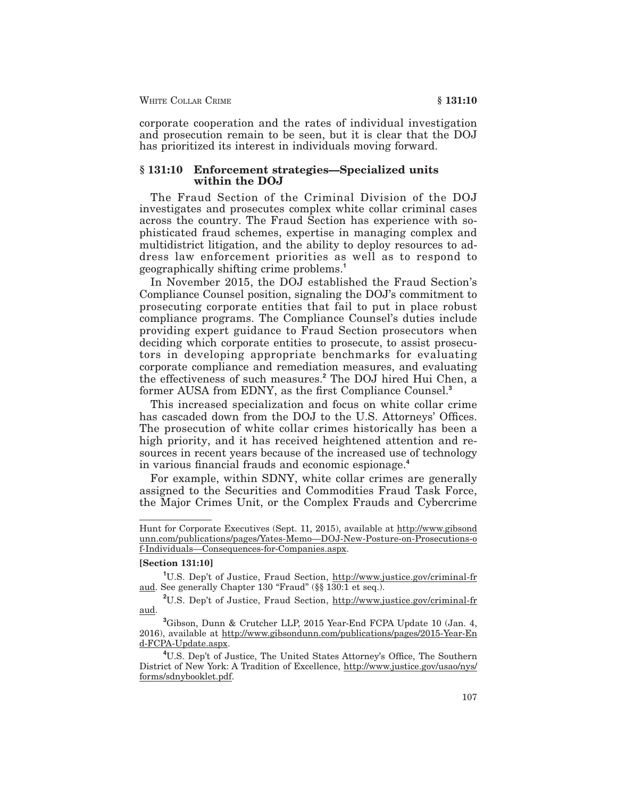corporate cooperation and the rates of individual investigation and prosecution remain to be seen, but it is clear that the DOJ has prioritized its interest in individuals moving forward.

#### **§ 131:10 Enforcement strategies—Specialized units within the DOJ**

The Fraud Section of the Criminal Division of the DOJ investigates and prosecutes complex white collar criminal cases across the country. The Fraud Section has experience with sophisticated fraud schemes, expertise in managing complex and multidistrict litigation, and the ability to deploy resources to address law enforcement priorities as well as to respond to geographically shifting crime problems.**<sup>1</sup>**

In November 2015, the DOJ established the Fraud Section's Compliance Counsel position, signaling the DOJ's commitment to prosecuting corporate entities that fail to put in place robust compliance programs. The Compliance Counsel's duties include providing expert guidance to Fraud Section prosecutors when deciding which corporate entities to prosecute, to assist prosecutors in developing appropriate benchmarks for evaluating corporate compliance and remediation measures, and evaluating the effectiveness of such measures.**<sup>2</sup>** The DOJ hired Hui Chen, a former AUSA from EDNY, as the first Compliance Counsel.**<sup>3</sup>**

This increased specialization and focus on white collar crime has cascaded down from the DOJ to the U.S. Attorneys' Offices. The prosecution of white collar crimes historically has been a high priority, and it has received heightened attention and resources in recent years because of the increased use of technology in various financial frauds and economic espionage.**<sup>4</sup>**

For example, within SDNY, white collar crimes are generally assigned to the Securities and Commodities Fraud Task Force, the Major Crimes Unit, or the Complex Frauds and Cybercrime

#### **[Section 131:10]**

Hunt for Corporate Executives (Sept. 11, 2015), available at http://www.gibsond unn.com/publications/pages/Yates-Memo—DOJ-New-Posture-on-Prosecutions-o f-Individuals—Consequences-for-Companies.aspx.

**<sup>1</sup>** U.S. Dep't of Justice, Fraud Section, http://www.justice.gov/criminal-fr aud. See generally Chapter 130 "Fraud" (§§ 130:1 et seq.).

**<sup>2</sup>** U.S. Dep't of Justice, Fraud Section, http://www.justice.gov/criminal-fr aud.

**<sup>3</sup>** Gibson, Dunn & Crutcher LLP, 2015 Year-End FCPA Update 10 (Jan. 4, 2016), available at http://www.gibsondunn.com/publications/pages/2015-Year-En d-FCPA-Update.aspx.

**<sup>4</sup>** U.S. Dep't of Justice, The United States Attorney's Office, The Southern District of New York: A Tradition of Excellence, http://www.justice.gov/usao/nys/ forms/sdnybooklet.pdf.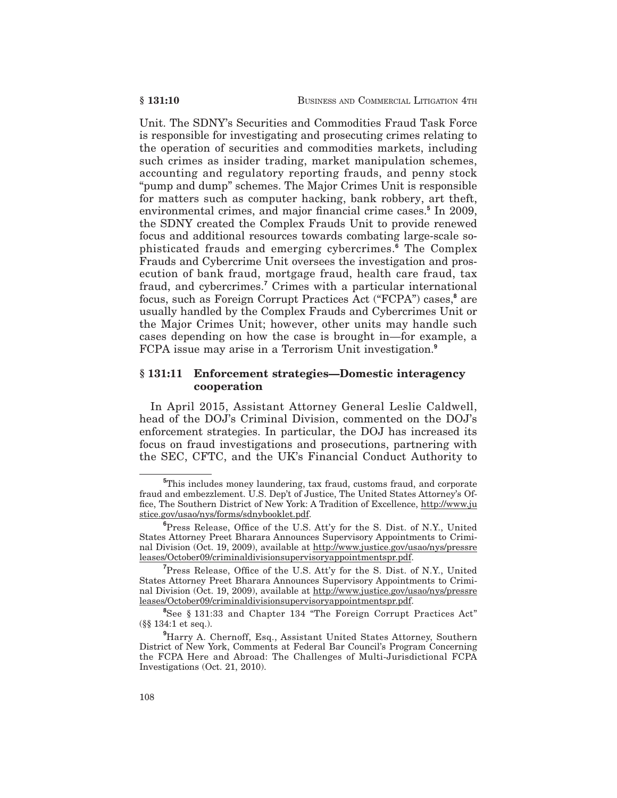Unit. The SDNY's Securities and Commodities Fraud Task Force is responsible for investigating and prosecuting crimes relating to the operation of securities and commodities markets, including such crimes as insider trading, market manipulation schemes, accounting and regulatory reporting frauds, and penny stock "pump and dump" schemes. The Major Crimes Unit is responsible for matters such as computer hacking, bank robbery, art theft, environmental crimes, and major financial crime cases.**<sup>5</sup>** In 2009, the SDNY created the Complex Frauds Unit to provide renewed focus and additional resources towards combating large-scale sophisticated frauds and emerging cybercrimes.**<sup>6</sup>** The Complex Frauds and Cybercrime Unit oversees the investigation and prosecution of bank fraud, mortgage fraud, health care fraud, tax fraud, and cybercrimes.**<sup>7</sup>** Crimes with a particular international focus, such as Foreign Corrupt Practices Act ("FCPA") cases,**<sup>8</sup>** are usually handled by the Complex Frauds and Cybercrimes Unit or the Major Crimes Unit; however, other units may handle such cases depending on how the case is brought in—for example, a FCPA issue may arise in a Terrorism Unit investigation.**<sup>9</sup>**

#### **§ 131:11 Enforcement strategies—Domestic interagency cooperation**

In April 2015, Assistant Attorney General Leslie Caldwell, head of the DOJ's Criminal Division, commented on the DOJ's enforcement strategies. In particular, the DOJ has increased its focus on fraud investigations and prosecutions, partnering with the SEC, CFTC, and the UK's Financial Conduct Authority to

**<sup>5</sup>** This includes money laundering, tax fraud, customs fraud, and corporate fraud and embezzlement. U.S. Dep't of Justice, The United States Attorney's Office, The Southern District of New York: A Tradition of Excellence, http://www.ju stice.gov/usao/nys/forms/sdnybooklet.pdf.

**<sup>6</sup>** Press Release, Office of the U.S. Att'y for the S. Dist. of N.Y., United States Attorney Preet Bharara Announces Supervisory Appointments to Criminal Division (Oct. 19, 2009), available at http://www.justice.gov/usao/nys/pressre leases/October09/criminaldivisionsupervisoryappointmentspr.pdf.

**<sup>7</sup>** Press Release, Office of the U.S. Att'y for the S. Dist. of N.Y., United States Attorney Preet Bharara Announces Supervisory Appointments to Criminal Division (Oct. 19, 2009), available at http://www.justice.gov/usao/nys/pressre leases/October09/criminaldivisionsupervisoryappointmentspr.pdf.

**<sup>8</sup>** See § 131:33 and Chapter 134 "The Foreign Corrupt Practices Act" (§§ 134:1 et seq.).

**<sup>9</sup>** Harry A. Chernoff, Esq., Assistant United States Attorney, Southern District of New York, Comments at Federal Bar Council's Program Concerning the FCPA Here and Abroad: The Challenges of Multi-Jurisdictional FCPA Investigations (Oct. 21, 2010).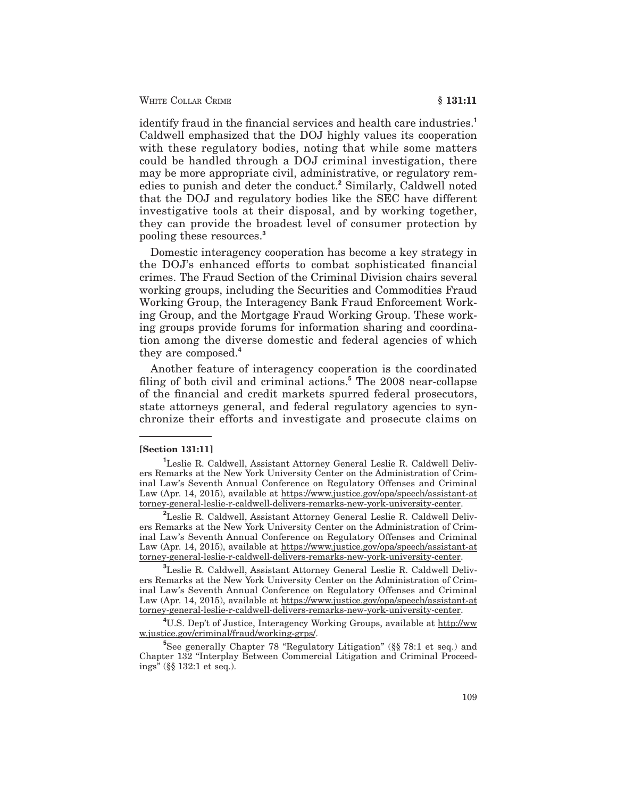WHITE COLLAR CRIME **6** 131:11

identify fraud in the financial services and health care industries.**<sup>1</sup>** Caldwell emphasized that the DOJ highly values its cooperation with these regulatory bodies, noting that while some matters could be handled through a DOJ criminal investigation, there may be more appropriate civil, administrative, or regulatory remedies to punish and deter the conduct.**<sup>2</sup>** Similarly, Caldwell noted that the DOJ and regulatory bodies like the SEC have different investigative tools at their disposal, and by working together, they can provide the broadest level of consumer protection by pooling these resources.**<sup>3</sup>**

Domestic interagency cooperation has become a key strategy in the DOJ's enhanced efforts to combat sophisticated financial crimes. The Fraud Section of the Criminal Division chairs several working groups, including the Securities and Commodities Fraud Working Group, the Interagency Bank Fraud Enforcement Working Group, and the Mortgage Fraud Working Group. These working groups provide forums for information sharing and coordination among the diverse domestic and federal agencies of which they are composed.**<sup>4</sup>**

Another feature of interagency cooperation is the coordinated filing of both civil and criminal actions.**<sup>5</sup>** The 2008 near-collapse of the financial and credit markets spurred federal prosecutors, state attorneys general, and federal regulatory agencies to synchronize their efforts and investigate and prosecute claims on

#### **[Section 131:11]**

**3** Leslie R. Caldwell, Assistant Attorney General Leslie R. Caldwell Delivers Remarks at the New York University Center on the Administration of Criminal Law's Seventh Annual Conference on Regulatory Offenses and Criminal Law (Apr. 14, 2015), available at https://www.justice.gov/opa/speech/assistant-at torney-general-leslie-r-caldwell-delivers-remarks-new-york-university-center.

<sup>4</sup>U.S. Dep't of Justice, Interagency Working Groups, available at http://ww w.justice.gov/criminal/fraud/working-grps/.

**5** See generally Chapter 78 "Regulatory Litigation" (§§ 78:1 et seq.) and Chapter 132 "Interplay Between Commercial Litigation and Criminal Proceedings" (§§ 132:1 et seq.).

**<sup>1</sup>** Leslie R. Caldwell, Assistant Attorney General Leslie R. Caldwell Delivers Remarks at the New York University Center on the Administration of Criminal Law's Seventh Annual Conference on Regulatory Offenses and Criminal Law (Apr. 14, 2015), available at https://www.justice.gov/opa/speech/assistant-at torney-general-leslie-r-caldwell-delivers-remarks-new-york-university-center.

**<sup>2</sup>** Leslie R. Caldwell, Assistant Attorney General Leslie R. Caldwell Delivers Remarks at the New York University Center on the Administration of Criminal Law's Seventh Annual Conference on Regulatory Offenses and Criminal Law (Apr. 14, 2015), available at https://www.justice.gov/opa/speech/assistant-at torney-general-leslie-r-caldwell-delivers-remarks-new-york-university-center.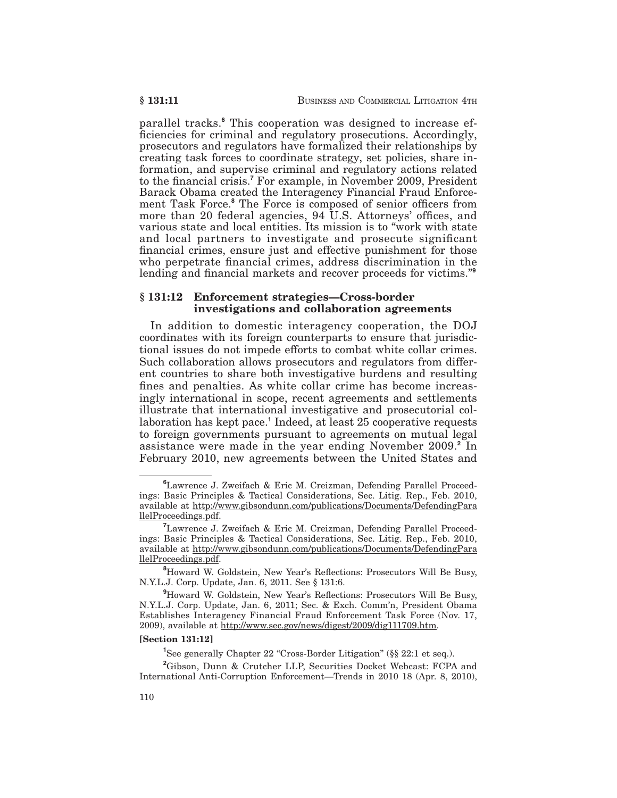parallel tracks.**<sup>6</sup>** This cooperation was designed to increase efficiencies for criminal and regulatory prosecutions. Accordingly, prosecutors and regulators have formalized their relationships by creating task forces to coordinate strategy, set policies, share information, and supervise criminal and regulatory actions related to the financial crisis.**<sup>7</sup>** For example, in November 2009, President Barack Obama created the Interagency Financial Fraud Enforcement Task Force.**<sup>8</sup>** The Force is composed of senior officers from more than 20 federal agencies, 94 U.S. Attorneys' offices, and various state and local entities. Its mission is to "work with state and local partners to investigate and prosecute significant financial crimes, ensure just and effective punishment for those who perpetrate financial crimes, address discrimination in the lending and financial markets and recover proceeds for victims."**<sup>9</sup>**

### **§ 131:12 Enforcement strategies—Cross-border investigations and collaboration agreements**

In addition to domestic interagency cooperation, the DOJ coordinates with its foreign counterparts to ensure that jurisdictional issues do not impede efforts to combat white collar crimes. Such collaboration allows prosecutors and regulators from different countries to share both investigative burdens and resulting fines and penalties. As white collar crime has become increasingly international in scope, recent agreements and settlements illustrate that international investigative and prosecutorial collaboration has kept pace.**<sup>1</sup>** Indeed, at least 25 cooperative requests to foreign governments pursuant to agreements on mutual legal assistance were made in the year ending November 2009.**<sup>2</sup>** In February 2010, new agreements between the United States and

#### **[Section 131:12]**

<sup>1</sup>See generally Chapter 22 "Cross-Border Litigation" (§§ 22:1 et seq.).

**<sup>6</sup>** Lawrence J. Zweifach & Eric M. Creizman, Defending Parallel Proceedings: Basic Principles & Tactical Considerations, Sec. Litig. Rep., Feb. 2010, available at http://www.gibsondunn.com/publications/Documents/DefendingPara llelProceedings.pdf.

<sup>&</sup>lt;sup>7</sup>Lawrence J. Zweifach & Eric M. Creizman, Defending Parallel Proceedings: Basic Principles & Tactical Considerations, Sec. Litig. Rep., Feb. 2010, available at http://www.gibsondunn.com/publications/Documents/DefendingPara llelProceedings.pdf.

**<sup>8</sup>** Howard W. Goldstein, New Year's Reflections: Prosecutors Will Be Busy, N.Y.L.J. Corp. Update, Jan. 6, 2011. See § 131:6.

**<sup>9</sup>** Howard W. Goldstein, New Year's Reflections: Prosecutors Will Be Busy, N.Y.L.J. Corp. Update, Jan. 6, 2011; Sec. & Exch. Comm'n, President Obama Establishes Interagency Financial Fraud Enforcement Task Force (Nov. 17, 2009), available at http://www.sec.gov/news/digest/2009/dig111709.htm.

**<sup>2</sup>** Gibson, Dunn & Crutcher LLP, Securities Docket Webcast: FCPA and International Anti-Corruption Enforcement—Trends in 2010 18 (Apr. 8, 2010),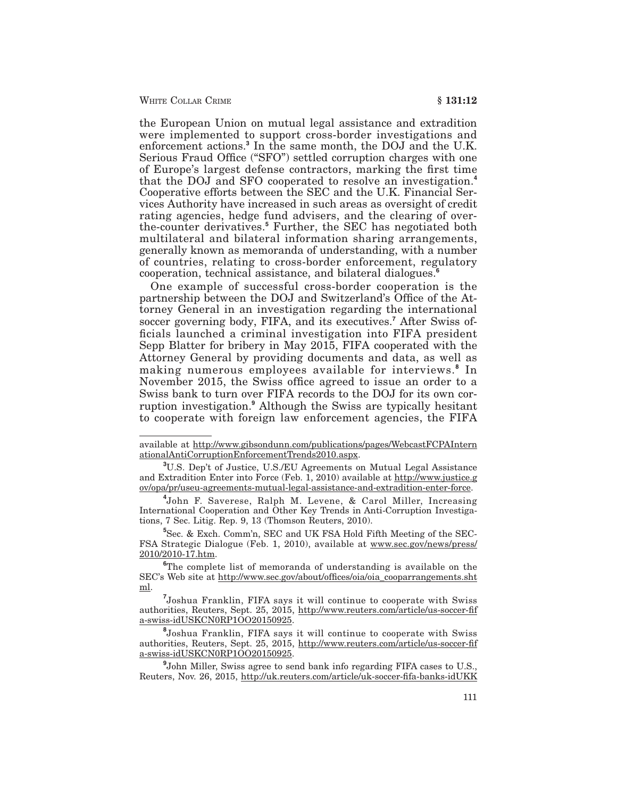WHITE COLLAR CRIME **6** 131:12

the European Union on mutual legal assistance and extradition were implemented to support cross-border investigations and enforcement actions.**<sup>3</sup>** In the same month, the DOJ and the U.K. Serious Fraud Office ("SFO") settled corruption charges with one of Europe's largest defense contractors, marking the first time that the DOJ and SFO cooperated to resolve an investigation.**<sup>4</sup>** Cooperative efforts between the SEC and the U.K. Financial Services Authority have increased in such areas as oversight of credit rating agencies, hedge fund advisers, and the clearing of overthe-counter derivatives.**<sup>5</sup>** Further, the SEC has negotiated both multilateral and bilateral information sharing arrangements, generally known as memoranda of understanding, with a number of countries, relating to cross-border enforcement, regulatory cooperation, technical assistance, and bilateral dialogues.**<sup>6</sup>**

One example of successful cross-border cooperation is the partnership between the DOJ and Switzerland's Office of the Attorney General in an investigation regarding the international soccer governing body, FIFA, and its executives.**<sup>7</sup>** After Swiss officials launched a criminal investigation into FIFA president Sepp Blatter for bribery in May 2015, FIFA cooperated with the Attorney General by providing documents and data, as well as making numerous employees available for interviews.**<sup>8</sup>** In November 2015, the Swiss office agreed to issue an order to a Swiss bank to turn over FIFA records to the DOJ for its own corruption investigation.**<sup>9</sup>** Although the Swiss are typically hesitant to cooperate with foreign law enforcement agencies, the FIFA

**5** Sec. & Exch. Comm'n, SEC and UK FSA Hold Fifth Meeting of the SEC-FSA Strategic Dialogue (Feb. 1, 2010), available at www.sec.gov/news/press/ 2010/2010-17.htm.

available at http://www.gibsondunn.com/publications/pages/WebcastFCPAIntern ationalAntiCorruptionEnforcementTrends2010.aspx.

**<sup>3</sup>** U.S. Dep't of Justice, U.S./EU Agreements on Mutual Legal Assistance and Extradition Enter into Force (Feb. 1, 2010) available at  $\frac{http://www.justice.g}{http://www.justice.g}$ ov/opa/pr/useu-agreements-mutual-legal-assistance-and-extradition-enter-force.

**<sup>4</sup>** John F. Saverese, Ralph M. Levene, & Carol Miller, Increasing International Cooperation and Other Key Trends in Anti-Corruption Investigations, 7 Sec. Litig. Rep. 9, 13 (Thomson Reuters, 2010).

**<sup>6</sup>** The complete list of memoranda of understanding is available on the SEC's Web site at http://www.sec.gov/about/offices/oia/oia\_cooparrangements.sht ml.

**<sup>7</sup>** Joshua Franklin, FIFA says it will continue to cooperate with Swiss authorities, Reuters, Sept. 25, 2015, http://www.reuters.com/article/us-soccer-fif a-swiss-idUSKCN0RP1OO20150925.

**<sup>8</sup>** Joshua Franklin, FIFA says it will continue to cooperate with Swiss authorities, Reuters, Sept. 25, 2015, http://www.reuters.com/article/us-soccer-fif a-swiss-idUSKCN0RP1OO20150925.

**<sup>9</sup>** John Miller, Swiss agree to send bank info regarding FIFA cases to U.S., Reuters, Nov. 26, 2015, http://uk.reuters.com/article/uk-soccer-fifa-banks-idUKK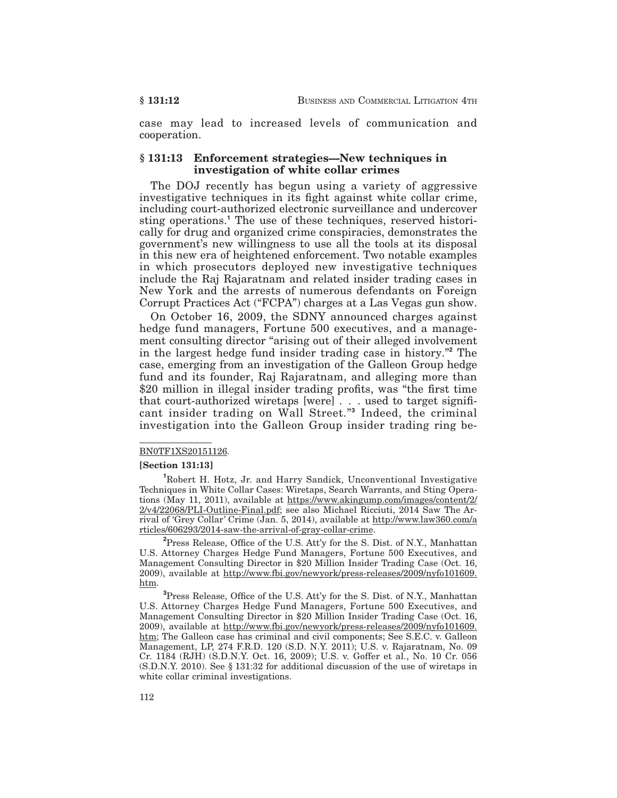case may lead to increased levels of communication and cooperation.

### **§ 131:13 Enforcement strategies—New techniques in investigation of white collar crimes**

The DOJ recently has begun using a variety of aggressive investigative techniques in its fight against white collar crime, including court-authorized electronic surveillance and undercover sting operations.**<sup>1</sup>** The use of these techniques, reserved historically for drug and organized crime conspiracies, demonstrates the government's new willingness to use all the tools at its disposal in this new era of heightened enforcement. Two notable examples in which prosecutors deployed new investigative techniques include the Raj Rajaratnam and related insider trading cases in New York and the arrests of numerous defendants on Foreign Corrupt Practices Act ("FCPA") charges at a Las Vegas gun show.

On October 16, 2009, the SDNY announced charges against hedge fund managers, Fortune 500 executives, and a management consulting director "arising out of their alleged involvement in the largest hedge fund insider trading case in history."**<sup>2</sup>** The case, emerging from an investigation of the Galleon Group hedge fund and its founder, Raj Rajaratnam, and alleging more than \$20 million in illegal insider trading profits, was "the first time that court-authorized wiretaps [were] . . . used to target significant insider trading on Wall Street."**<sup>3</sup>** Indeed, the criminal investigation into the Galleon Group insider trading ring be-

#### BN0TF1XS20151126.

#### **[Section 131:13]**

**2** Press Release, Office of the U.S. Att'y for the S. Dist. of N.Y., Manhattan U.S. Attorney Charges Hedge Fund Managers, Fortune 500 Executives, and Management Consulting Director in \$20 Million Insider Trading Case (Oct. 16, 2009), available at http://www.fbi.gov/newyork/press-releases/2009/nyfo101609. htm.

**3** Press Release, Office of the U.S. Att'y for the S. Dist. of N.Y., Manhattan U.S. Attorney Charges Hedge Fund Managers, Fortune 500 Executives, and Management Consulting Director in \$20 Million Insider Trading Case (Oct. 16, 2009), available at http://www.fbi.gov/newyork/press-releases/2009/nyfo101609. htm; The Galleon case has criminal and civil components; See S.E.C. v. Galleon Management, LP, 274 F.R.D. 120 (S.D. N.Y. 2011); U.S. v. Rajaratnam, No. 09 Cr. 1184 (RJH) (S.D.N.Y. Oct. 16, 2009); U.S. v. Goffer et al., No. 10 Cr. 056 (S.D.N.Y. 2010). See § 131:32 for additional discussion of the use of wiretaps in white collar criminal investigations.

**<sup>1</sup>** Robert H. Hotz, Jr. and Harry Sandick, Unconventional Investigative Techniques in White Collar Cases: Wiretaps, Search Warrants, and Sting Operations (May 11, 2011), available at https://www.akingump.com/images/content/2/ 2/v4/22068/PLI-Outline-Final.pdf; see also Michael Ricciuti, 2014 Saw The Arrival of 'Grey Collar' Crime (Jan. 5, 2014), available at http://www.law360.com/a rticles/606293/2014-saw-the-arrival-of-gray-collar-crime.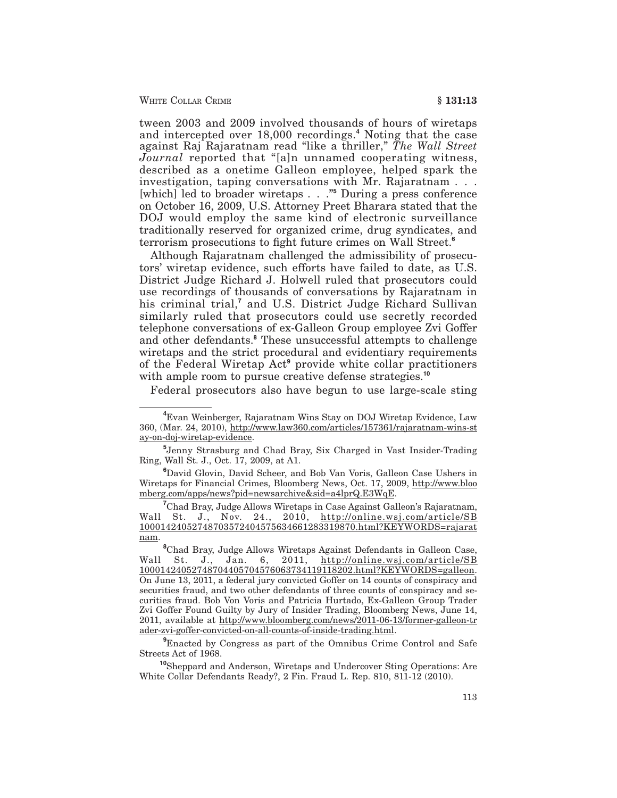tween 2003 and 2009 involved thousands of hours of wiretaps and intercepted over 18,000 recordings.**<sup>4</sup>** Noting that the case against Raj Rajaratnam read "like a thriller," *The Wall Street Journal* reported that "[a]n unnamed cooperating witness, described as a onetime Galleon employee, helped spark the investigation, taping conversations with Mr. Rajaratnam . . . [which] led to broader wiretaps . . ."**<sup>5</sup>** During a press conference on October 16, 2009, U.S. Attorney Preet Bharara stated that the DOJ would employ the same kind of electronic surveillance traditionally reserved for organized crime, drug syndicates, and terrorism prosecutions to fight future crimes on Wall Street.**<sup>6</sup>**

Although Rajaratnam challenged the admissibility of prosecutors' wiretap evidence, such efforts have failed to date, as U.S. District Judge Richard J. Holwell ruled that prosecutors could use recordings of thousands of conversations by Rajaratnam in his criminal trial,<sup>7</sup> and U.S. District Judge Richard Sullivan similarly ruled that prosecutors could use secretly recorded telephone conversations of ex-Galleon Group employee Zvi Goffer and other defendants.**<sup>8</sup>** These unsuccessful attempts to challenge wiretaps and the strict procedural and evidentiary requirements of the Federal Wiretap Act**<sup>9</sup>** provide white collar practitioners with ample room to pursue creative defense strategies.**<sup>10</sup>**

Federal prosecutors also have begun to use large-scale sting

**<sup>4</sup>** Evan Weinberger, Rajaratnam Wins Stay on DOJ Wiretap Evidence, Law 360, (Mar. 24, 2010), http://www.law360.com/articles/157361/rajaratnam-wins-st ay-on-doj-wiretap-evidence.

**<sup>5</sup>** Jenny Strasburg and Chad Bray, Six Charged in Vast Insider-Trading Ring, Wall St. J., Oct. 17, 2009, at A1.

**<sup>6</sup>** David Glovin, David Scheer, and Bob Van Voris, Galleon Case Ushers in Wiretaps for Financial Crimes, Bloomberg News, Oct. 17, 2009, http://www.bloo mberg.com/apps/news?pid=newsarchive&sid=a4lprQ.E3WqE.

**<sup>7</sup>** Chad Bray, Judge Allows Wiretaps in Case Against Galleon's Rajaratnam, Wall St. J., Nov. 24., 2010, <u>http://online.wsj.com/article/SB</u> 10001424052748703572404575634661283319870.html?KEYWORDS=rajarat nam.

**<sup>8</sup>** Chad Bray, Judge Allows Wiretaps Against Defendants in Galleon Case, Wall St. J., Jan. 6, 2011, http://online.wsj.com/article/SB 10001424052748704405704576063734119118202.html?KEYWORDS=galleon. On June 13, 2011, a federal jury convicted Goffer on 14 counts of conspiracy and securities fraud, and two other defendants of three counts of conspiracy and securities fraud. Bob Von Voris and Patricia Hurtado, Ex-Galleon Group Trader Zvi Goffer Found Guilty by Jury of Insider Trading, Bloomberg News, June 14, 2011, available at http://www.bloomberg.com/news/2011-06-13/former-galleon-tr ader-zvi-goffer-convicted-on-all-counts-of-inside-trading.html.

**<sup>9</sup>** Enacted by Congress as part of the Omnibus Crime Control and Safe Streets Act of 1968.

**<sup>10</sup>**Sheppard and Anderson, Wiretaps and Undercover Sting Operations: Are White Collar Defendants Ready?, 2 Fin. Fraud L. Rep. 810, 811-12 (2010).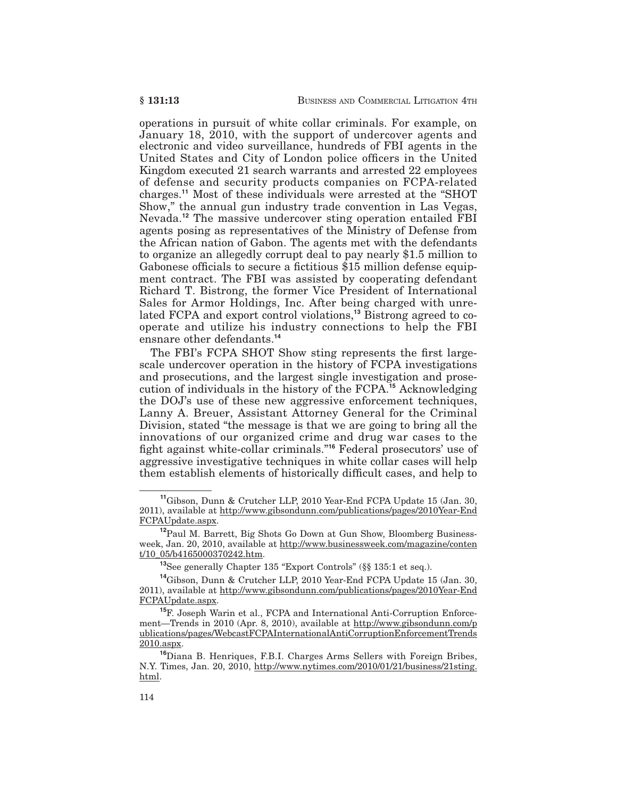operations in pursuit of white collar criminals. For example, on January 18, 2010, with the support of undercover agents and electronic and video surveillance, hundreds of FBI agents in the United States and City of London police officers in the United Kingdom executed 21 search warrants and arrested 22 employees of defense and security products companies on FCPA-related charges.**<sup>11</sup>** Most of these individuals were arrested at the "SHOT Show," the annual gun industry trade convention in Las Vegas, Nevada.**<sup>12</sup>** The massive undercover sting operation entailed FBI agents posing as representatives of the Ministry of Defense from the African nation of Gabon. The agents met with the defendants to organize an allegedly corrupt deal to pay nearly \$1.5 million to Gabonese officials to secure a fictitious \$15 million defense equipment contract. The FBI was assisted by cooperating defendant Richard T. Bistrong, the former Vice President of International Sales for Armor Holdings, Inc. After being charged with unrelated FCPA and export control violations,**<sup>13</sup>** Bistrong agreed to cooperate and utilize his industry connections to help the FBI ensnare other defendants.**<sup>14</sup>**

The FBI's FCPA SHOT Show sting represents the first largescale undercover operation in the history of FCPA investigations and prosecutions, and the largest single investigation and prosecution of individuals in the history of the FCPA.**<sup>15</sup>** Acknowledging the DOJ's use of these new aggressive enforcement techniques, Lanny A. Breuer, Assistant Attorney General for the Criminal Division, stated "the message is that we are going to bring all the innovations of our organized crime and drug war cases to the fight against white-collar criminals."**<sup>16</sup>** Federal prosecutors' use of aggressive investigative techniques in white collar cases will help them establish elements of historically difficult cases, and help to

**<sup>11</sup>**Gibson, Dunn & Crutcher LLP, 2010 Year-End FCPA Update 15 (Jan. 30, 2011), available at http://www.gibsondunn.com/publications/pages/2010Year-End FCPAUpdate.aspx.

**<sup>12</sup>**Paul M. Barrett, Big Shots Go Down at Gun Show, Bloomberg Businessweek, Jan. 20, 2010, available at http://www.businessweek.com/magazine/conten t/10\_05/b4165000370242.htm.

**<sup>13</sup>**See generally Chapter 135 "Export Controls" (§§ 135:1 et seq.).

**<sup>14</sup>**Gibson, Dunn & Crutcher LLP, 2010 Year-End FCPA Update 15 (Jan. 30, 2011), available at http://www.gibsondunn.com/publications/pages/2010Year-End FCPAUpdate.aspx.

**<sup>15</sup>**F. Joseph Warin et al., FCPA and International Anti-Corruption Enforcement—Trends in 2010 (Apr. 8, 2010), available at http://www.gibsondunn.com/p ublications/pages/WebcastFCPAInternationalAntiCorruptionEnforcementTrends 2010.aspx.

**<sup>16</sup>**Diana B. Henriques, F.B.I. Charges Arms Sellers with Foreign Bribes, N.Y. Times, Jan. 20, 2010, http://www.nytimes.com/2010/01/21/business/21sting. html.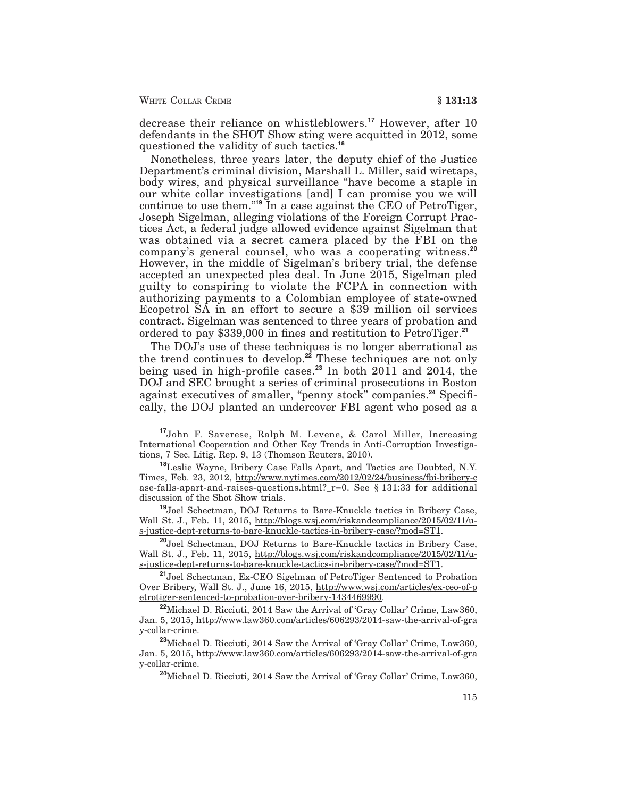WHITE COLLAR CRIME **§ 131:13** 

decrease their reliance on whistleblowers.**<sup>17</sup>** However, after 10 defendants in the SHOT Show sting were acquitted in 2012, some questioned the validity of such tactics.**<sup>18</sup>**

Nonetheless, three years later, the deputy chief of the Justice Department's criminal division, Marshall L. Miller, said wiretaps, body wires, and physical surveillance "have become a staple in our white collar investigations [and] I can promise you we will continue to use them."**<sup>19</sup>** In a case against the CEO of PetroTiger, Joseph Sigelman, alleging violations of the Foreign Corrupt Practices Act, a federal judge allowed evidence against Sigelman that was obtained via a secret camera placed by the FBI on the company's general counsel, who was a cooperating witness.**<sup>20</sup>** However, in the middle of Sigelman's bribery trial, the defense accepted an unexpected plea deal. In June 2015, Sigelman pled guilty to conspiring to violate the FCPA in connection with authorizing payments to a Colombian employee of state-owned Ecopetrol SA in an effort to secure a \$39 million oil services contract. Sigelman was sentenced to three years of probation and ordered to pay \$339,000 in fines and restitution to PetroTiger.**<sup>21</sup>**

The DOJ's use of these techniques is no longer aberrational as the trend continues to develop.**<sup>22</sup>** These techniques are not only being used in high-profile cases.**<sup>23</sup>** In both 2011 and 2014, the DOJ and SEC brought a series of criminal prosecutions in Boston against executives of smaller, "penny stock" companies.**<sup>24</sup>** Specifically, the DOJ planted an undercover FBI agent who posed as a

**<sup>19</sup>**Joel Schectman, DOJ Returns to Bare-Knuckle tactics in Bribery Case, Wall St. J., Feb. 11, 2015, http://blogs.wsj.com/riskandcompliance/2015/02/11/us-justice-dept-returns-to-bare-knuckle-tactics-in-bribery-case/?mod=ST1.

**<sup>20</sup>**Joel Schectman, DOJ Returns to Bare-Knuckle tactics in Bribery Case, Wall St. J., Feb. 11, 2015, http://blogs.wsj.com/riskandcompliance/2015/02/11/us-justice-dept-returns-to-bare-knuckle-tactics-in-bribery-case/?mod=ST1.

**<sup>21</sup>**Joel Schectman, Ex-CEO Sigelman of PetroTiger Sentenced to Probation Over Bribery, Wall St. J., June 16, 2015, http://www.wsj.com/articles/ex-ceo-of-p etrotiger-sentenced-to-probation-over-bribery-1434469990.

**<sup>22</sup>**Michael D. Ricciuti, 2014 Saw the Arrival of 'Gray Collar' Crime, Law360, Jan. 5, 2015, http://www.law360.com/articles/606293/2014-saw-the-arrival-of-gra y-collar-crime.

**<sup>23</sup>**Michael D. Ricciuti, 2014 Saw the Arrival of 'Gray Collar' Crime, Law360, Jan. 5, 2015, http://www.law360.com/articles/606293/2014-saw-the-arrival-of-gra y-collar-crime.

**<sup>24</sup>**Michael D. Ricciuti, 2014 Saw the Arrival of 'Gray Collar' Crime, Law360,

**<sup>17</sup>**John F. Saverese, Ralph M. Levene, & Carol Miller, Increasing International Cooperation and Other Key Trends in Anti-Corruption Investigations, 7 Sec. Litig. Rep. 9, 13 (Thomson Reuters, 2010).

**<sup>18</sup>**Leslie Wayne, Bribery Case Falls Apart, and Tactics are Doubted, N.Y. Times, Feb. 23, 2012, http://www.nytimes.com/2012/02/24/business/fbi-bribery-c ase-falls-apart-and-raises-questions.html?\_r=0. See § 131:33 for additional discussion of the Shot Show trials.